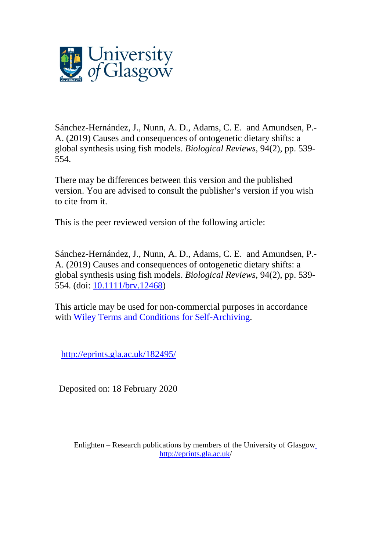

Sánchez-Hernández, J., Nunn, A. D., Adams, C. E. and Amundsen, P.- A. (2019) Causes and consequences of ontogenetic dietary shifts: a global synthesis using fish models. *Biological Reviews*, 94(2), pp. 539- 554.

There may be differences between this version and the published version. You are advised to consult the publisher's version if you wish to cite from it.

This is the peer reviewed version of the following article:

Sánchez-Hernández, J., Nunn, A. D., Adams, C. E. and Amundsen, P.- A. (2019) Causes and consequences of ontogenetic dietary shifts: a global synthesis using fish models. *Biological Reviews*, 94(2), pp. 539- 554. (doi: [10.1111/brv.12468\)](http://dx.doi.org/10.1111/brv.12468)

This article may be used for non-commercial purposes in accordance with Wiley Terms and Conditions for [Self-Archiving.](http://olabout.wiley.com/WileyCDA/Section/id-828039.html#terms)

<http://eprints.gla.ac.uk/182495/>

Deposited on: 18 February 2020

Enlighten – Research publications by members of the University of Glasgo[w](http://eprints.gla.ac.uk/) <http://eprints.gla.ac.uk/>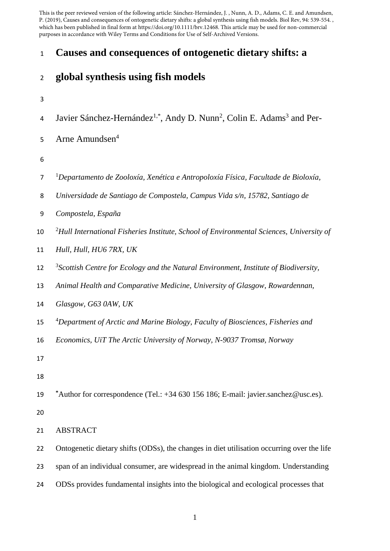This is the peer reviewed version of the following article: Sánchez‐Hernández, J. , Nunn, A. D., Adams, C. E. and Amundsen, P. (2019), Causes and consequences of ontogenetic dietary shifts: a global synthesis using fish models. Biol Rev, 94: 539-554. , which has been published in final form at https://doi.org/10.1111/brv.12468. This article may be used for non-commercial purposes in accordance with Wiley Terms and Conditions for Use of Self-Archived Versions.

## **Causes and consequences of ontogenetic dietary shifts: a**

# **global synthesis using fish models**

- 
- 4 Javier Sánchez-Hernández<sup>1,\*</sup>, Andy D. Nunn<sup>2</sup>, Colin E. Adams<sup>3</sup> and Per-
- Arne Amundsen<sup>4</sup>
- 
- 1 *Departamento de Zooloxía, Xenética e Antropoloxía Física, Facultade de Bioloxía,*
- *Universidade de Santiago de Compostela, Campus Vida s/n, 15782, Santiago de*
- *Compostela, España*
- 10 <sup>2</sup>Hull International Fisheries Institute, School of Environmental Sciences, University of
- *Hull, Hull, HU6 7RX, UK*
- 3 *Scottish Centre for Ecology and the Natural Environment, Institute of Biodiversity,*
- *Animal Health and Comparative Medicine, University of Glasgow, Rowardennan,*
- *Glasgow, G63 0AW, UK*
- 4 *Department of Arctic and Marine Biology, Faculty of Biosciences, Fisheries and*
- *Economics, UiT The Arctic University of Norway, N-9037 Tromsø, Norway*
- 
- 
- **\***Author for correspondence (Tel.: +34 630 156 186; E-mail: [javier.sanchez@usc.es\)](mailto:javier.sanchez@usc.es).
- 
- ABSTRACT
- Ontogenetic dietary shifts (ODSs), the changes in diet utilisation occurring over the life
- span of an individual consumer, are widespread in the animal kingdom. Understanding
- ODSs provides fundamental insights into the biological and ecological processes that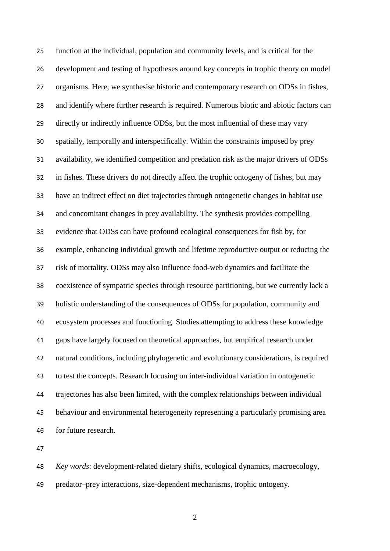function at the individual, population and community levels, and is critical for the development and testing of hypotheses around key concepts in trophic theory on model organisms. Here, we synthesise historic and contemporary research on ODSs in fishes, and identify where further research is required. Numerous biotic and abiotic factors can directly or indirectly influence ODSs, but the most influential of these may vary spatially, temporally and interspecifically. Within the constraints imposed by prey availability, we identified competition and predation risk as the major drivers of ODSs in fishes. These drivers do not directly affect the trophic ontogeny of fishes, but may have an indirect effect on diet trajectories through ontogenetic changes in habitat use and concomitant changes in prey availability. The synthesis provides compelling evidence that ODSs can have profound ecological consequences for fish by, for example, enhancing individual growth and lifetime reproductive output or reducing the risk of mortality. ODSs may also influence food-web dynamics and facilitate the coexistence of sympatric species through resource partitioning, but we currently lack a holistic understanding of the consequences of ODSs for population, community and ecosystem processes and functioning. Studies attempting to address these knowledge gaps have largely focused on theoretical approaches, but empirical research under natural conditions, including phylogenetic and evolutionary considerations, is required to test the concepts. Research focusing on inter-individual variation in ontogenetic trajectories has also been limited, with the complex relationships between individual behaviour and environmental heterogeneity representing a particularly promising area for future research.

 *Key words*: development-related dietary shifts, ecological dynamics, macroecology, predator–prey interactions, size-dependent mechanisms, trophic ontogeny.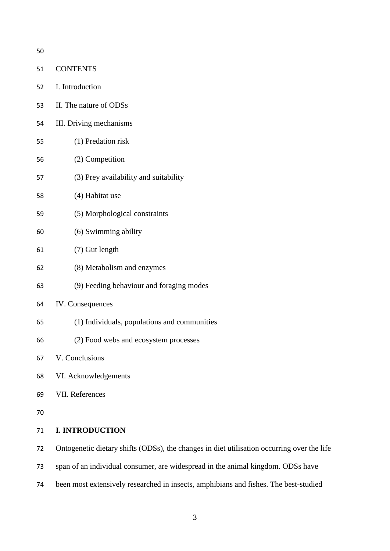CONTENTS I. Introduction II. The nature of ODSs III. Driving mechanisms (1) Predation risk (2) Competition (3) Prey availability and suitability (4) Habitat use (5) Morphological constraints (6) Swimming ability (7) Gut length (8) Metabolism and enzymes (9) Feeding behaviour and foraging modes IV. Consequences (1) Individuals, populations and communities (2) Food webs and ecosystem processes V. Conclusions VI. Acknowledgements VII. References **I. INTRODUCTION** Ontogenetic dietary shifts (ODSs), the changes in diet utilisation occurring over the life

span of an individual consumer, are widespread in the animal kingdom. ODSs have

been most extensively researched in insects, amphibians and fishes. The best-studied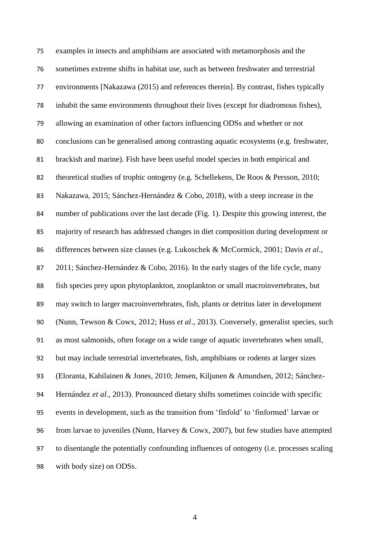examples in insects and amphibians are associated with metamorphosis and the sometimes extreme shifts in habitat use, such as between freshwater and terrestrial environments [Nakazawa (2015) and references therein]. By contrast, fishes typically inhabit the same environments throughout their lives (except for diadromous fishes), allowing an examination of other factors influencing ODSs and whether or not conclusions can be generalised among contrasting aquatic ecosystems (e.g. freshwater, brackish and marine). Fish have been useful model species in both empirical and theoretical studies of trophic ontogeny (e.g. Schellekens, De Roos & Persson, 2010; Nakazawa, 2015; Sánchez-Hernández & Cobo, 2018), with a steep increase in the number of publications over the last decade (Fig. 1). Despite this growing interest, the majority of research has addressed changes in diet composition during development or differences between size classes (e.g. Lukoschek & McCormick, 2001; Davis *et al*., 87 2011; Sánchez-Hernández & Cobo, 2016). In the early stages of the life cycle, many fish species prey upon phytoplankton, zooplankton or small macroinvertebrates, but may switch to larger macroinvertebrates, fish, plants or detritus later in development (Nunn, Tewson & Cowx, 2012; Huss *et al*., 2013). Conversely, generalist species, such as most salmonids, often forage on a wide range of aquatic invertebrates when small, but may include terrestrial invertebrates, fish, amphibians or rodents at larger sizes (Eloranta, Kahilainen & Jones, 2010; Jensen, Kiljunen & Amundsen, 2012; Sánchez- Hernández *et al*., 2013). Pronounced dietary shifts sometimes coincide with specific events in development, such as the transition from 'finfold' to 'finformed' larvae or 96 from larvae to juveniles (Nunn, Harvey  $&$  Cowx, 2007), but few studies have attempted to disentangle the potentially confounding influences of ontogeny (i.e. processes scaling with body size) on ODSs.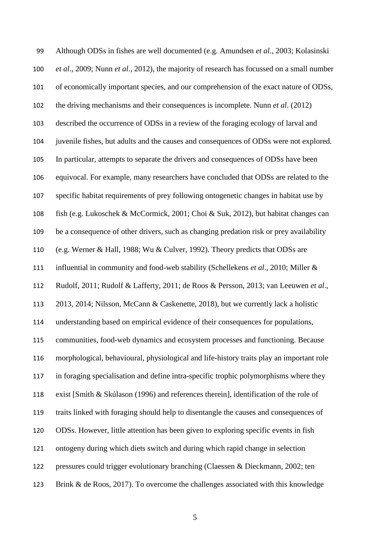Although ODSs in fishes are well documented (e.g. Amundsen *et al*., 2003; Kolasinski *et al*., 2009; Nunn *et al*., 2012), the majority of research has focussed on a small number of economically important species, and our comprehension of the exact nature of ODSs, the driving mechanisms and their consequences is incomplete. Nunn *et al*. (2012) described the occurrence of ODSs in a review of the foraging ecology of larval and juvenile fishes, but adults and the causes and consequences of ODSs were not explored. In particular, attempts to separate the drivers and consequences of ODSs have been equivocal. For example, many researchers have concluded that ODSs are related to the specific habitat requirements of prey following ontogenetic changes in habitat use by fish (e.g. Lukoschek & McCormick, 2001; Choi & Suk, 2012), but habitat changes can be a consequence of other drivers, such as changing predation risk or prey availability (e.g. Werner & Hall, 1988; Wu & Culver, 1992). Theory predicts that ODSs are influential in community and food-web stability (Schellekens *et al*., 2010; Miller & Rudolf, 2011; Rudolf & Lafferty, 2011; de Roos & Persson, 2013; van Leeuwen *et al*., 2013, 2014; Nilsson, McCann & Caskenette, 2018), but we currently lack a holistic understanding based on empirical evidence of their consequences for populations, communities, food-web dynamics and ecosystem processes and functioning. Because morphological, behavioural, physiological and life-history traits play an important role in foraging specialisation and define intra-specific trophic polymorphisms where they exist [Smith & Skúlason (1996) and references therein], identification of the role of traits linked with foraging should help to disentangle the causes and consequences of ODSs. However, little attention has been given to exploring specific events in fish ontogeny during which diets switch and during which rapid change in selection pressures could trigger evolutionary branching (Claessen & Dieckmann, 2002; ten Brink & de Roos, 2017). To overcome the challenges associated with this knowledge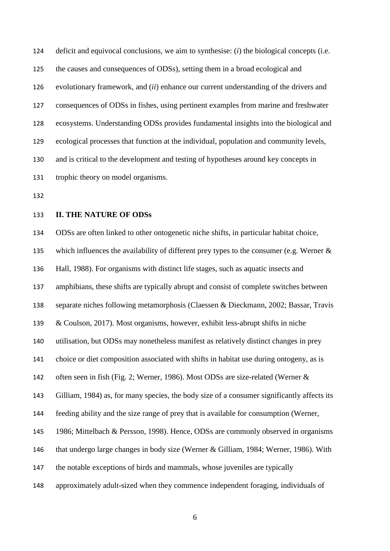deficit and equivocal conclusions, we aim to synthesise: (*i*) the biological concepts (i.e. the causes and consequences of ODSs), setting them in a broad ecological and evolutionary framework, and (*ii*) enhance our current understanding of the drivers and consequences of ODSs in fishes, using pertinent examples from marine and freshwater ecosystems. Understanding ODSs provides fundamental insights into the biological and ecological processes that function at the individual, population and community levels, and is critical to the development and testing of hypotheses around key concepts in trophic theory on model organisms.

## **II. THE NATURE OF ODSs**

 ODSs are often linked to other ontogenetic niche shifts, in particular habitat choice, 135 which influences the availability of different prey types to the consumer (e.g. Werner & Hall, 1988). For organisms with distinct life stages, such as aquatic insects and amphibians, these shifts are typically abrupt and consist of complete switches between separate niches following metamorphosis (Claessen & Dieckmann, 2002; Bassar, Travis & Coulson, 2017). Most organisms, however, exhibit less-abrupt shifts in niche utilisation, but ODSs may nonetheless manifest as relatively distinct changes in prey choice or diet composition associated with shifts in habitat use during ontogeny, as is often seen in fish (Fig. 2; Werner, 1986). Most ODSs are size-related (Werner & Gilliam, 1984) as, for many species, the body size of a consumer significantly affects its feeding ability and the size range of prey that is available for consumption (Werner, 1986; Mittelbach & Persson, 1998). Hence, ODSs are commonly observed in organisms that undergo large changes in body size (Werner & Gilliam, 1984; Werner, 1986). With the notable exceptions of birds and mammals, whose juveniles are typically approximately adult-sized when they commence independent foraging, individuals of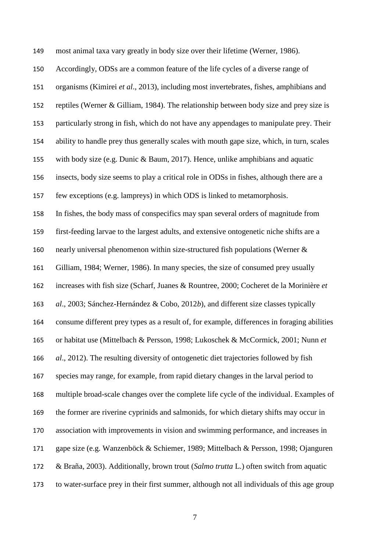most animal taxa vary greatly in body size over their lifetime (Werner, 1986). Accordingly, ODSs are a common feature of the life cycles of a diverse range of organisms (Kimirei *et al*., 2013), including most invertebrates, fishes, amphibians and reptiles (Werner & Gilliam, 1984). The relationship between body size and prey size is particularly strong in fish, which do not have any appendages to manipulate prey. Their ability to handle prey thus generally scales with mouth gape size, which, in turn, scales with body size (e.g. Dunic & Baum, 2017). Hence, unlike amphibians and aquatic insects, body size seems to play a critical role in ODSs in fishes, although there are a few exceptions (e.g. lampreys) in which ODS is linked to metamorphosis. In fishes, the body mass of conspecifics may span several orders of magnitude from first-feeding larvae to the largest adults, and extensive ontogenetic niche shifts are a nearly universal phenomenon within size-structured fish populations (Werner & Gilliam, 1984; Werner, 1986). In many species, the size of consumed prey usually increases with fish size (Scharf, Juanes & Rountree, 2000; Cocheret de la Morinière *et al*., 2003; Sánchez-Hernández & Cobo, 2012*b*), and different size classes typically consume different prey types as a result of, for example, differences in foraging abilities or habitat use (Mittelbach & Persson, 1998; Lukoschek & McCormick, 2001; Nunn *et al*., 2012). The resulting diversity of ontogenetic diet trajectories followed by fish species may range, for example, from rapid dietary changes in the larval period to multiple broad-scale changes over the complete life cycle of the individual. Examples of the former are riverine cyprinids and salmonids, for which dietary shifts may occur in association with improvements in vision and swimming performance, and increases in gape size (e.g. Wanzenböck & Schiemer, 1989; Mittelbach & Persson, 1998; Ojanguren & Braña, 2003). Additionally, brown trout (*Salmo trutta* L.) often switch from aquatic to water-surface prey in their first summer, although not all individuals of this age group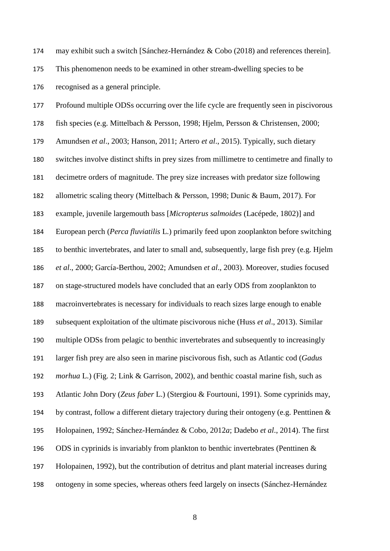may exhibit such a switch [Sánchez-Hernández & Cobo (2018) and references therein].

 This phenomenon needs to be examined in other stream-dwelling species to be recognised as a general principle.

 Profound multiple ODSs occurring over the life cycle are frequently seen in piscivorous fish species (e.g. Mittelbach & Persson, 1998; Hjelm, Persson & Christensen, 2000; Amundsen *et al*., 2003; Hanson, 2011; Artero *et al*., 2015). Typically, such dietary switches involve distinct shifts in prey sizes from millimetre to centimetre and finally to decimetre orders of magnitude. The prey size increases with predator size following allometric scaling theory (Mittelbach & Persson, 1998; Dunic & Baum, 2017). For example, juvenile largemouth bass [*Micropterus salmoides* (Lacépede, 1802)] and European perch (*Perca fluviatilis* L.) primarily feed upon zooplankton before switching to benthic invertebrates, and later to small and, subsequently, large fish prey (e.g. Hjelm *et al*., 2000; García-Berthou, 2002; Amundsen *et al*., 2003). Moreover, studies focused on stage-structured models have concluded that an early ODS from zooplankton to macroinvertebrates is necessary for individuals to reach sizes large enough to enable subsequent exploitation of the ultimate piscivorous niche (Huss *et al*., 2013). Similar multiple ODSs from pelagic to benthic invertebrates and subsequently to increasingly larger fish prey are also seen in marine piscivorous fish, such as Atlantic cod (*Gadus morhua* L.) (Fig. 2; Link & Garrison, 2002), and benthic coastal marine fish, such as Atlantic John Dory (*Zeus faber* L.) (Stergiou & Fourtouni, 1991). Some cyprinids may, by contrast, follow a different dietary trajectory during their ontogeny (e.g. Penttinen & Holopainen, 1992; Sánchez-Hernández & Cobo, 2012*a*; Dadebo *et al*., 2014). The first ODS in cyprinids is invariably from plankton to benthic invertebrates (Penttinen & Holopainen, 1992), but the contribution of detritus and plant material increases during ontogeny in some species, whereas others feed largely on insects (Sánchez-Hernández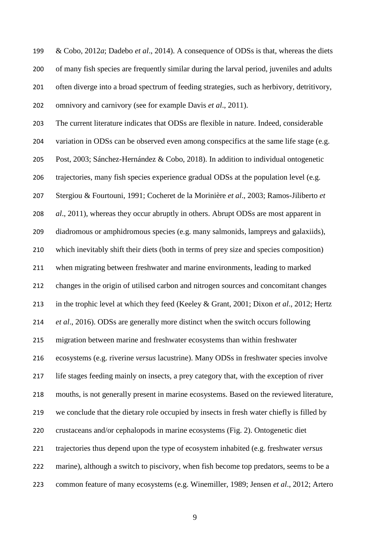& Cobo, 2012*a*; Dadebo *et al*., 2014). A consequence of ODSs is that, whereas the diets of many fish species are frequently similar during the larval period, juveniles and adults often diverge into a broad spectrum of feeding strategies, such as herbivory, detritivory, omnivory and carnivory (see for example Davis *et al*., 2011).

 The current literature indicates that ODSs are flexible in nature. Indeed, considerable variation in ODSs can be observed even among conspecifics at the same life stage (e.g. Post, 2003; Sánchez-Hernández & Cobo, 2018). In addition to individual ontogenetic trajectories, many fish species experience gradual ODSs at the population level (e.g. Stergiou & Fourtouni, 1991; Cocheret de la Morinière *et al*., 2003; Ramos-Jiliberto *et al*., 2011), whereas they occur abruptly in others. Abrupt ODSs are most apparent in diadromous or amphidromous species (e.g. many salmonids, lampreys and galaxiids), which inevitably shift their diets (both in terms of prey size and species composition) when migrating between freshwater and marine environments, leading to marked changes in the origin of utilised carbon and nitrogen sources and concomitant changes in the trophic level at which they feed (Keeley & Grant, 2001; Dixon *et al*., 2012; Hertz *et al*., 2016). ODSs are generally more distinct when the switch occurs following migration between marine and freshwater ecosystems than within freshwater ecosystems (e.g. riverine *versus* lacustrine). Many ODSs in freshwater species involve life stages feeding mainly on insects, a prey category that, with the exception of river mouths, is not generally present in marine ecosystems. Based on the reviewed literature, we conclude that the dietary role occupied by insects in fresh water chiefly is filled by crustaceans and/or cephalopods in marine ecosystems (Fig. 2). Ontogenetic diet trajectories thus depend upon the type of ecosystem inhabited (e.g. freshwater *versus* marine), although a switch to piscivory, when fish become top predators, seems to be a common feature of many ecosystems (e.g. Winemiller, 1989; Jensen *et al*., 2012; Artero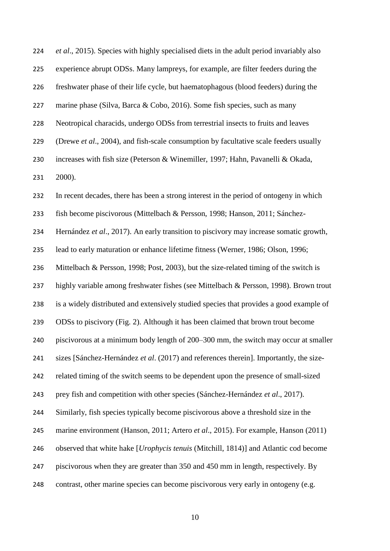*et al*., 2015). Species with highly specialised diets in the adult period invariably also experience abrupt ODSs. Many lampreys, for example, are filter feeders during the freshwater phase of their life cycle, but haematophagous (blood feeders) during the marine phase (Silva, Barca & Cobo, 2016). Some fish species, such as many Neotropical characids, undergo ODSs from terrestrial insects to fruits and leaves (Drewe *et al*., 2004), and fish-scale consumption by facultative scale feeders usually increases with fish size (Peterson & Winemiller, 1997; Hahn, Pavanelli & Okada, 2000). In recent decades, there has been a strong interest in the period of ontogeny in which fish become piscivorous (Mittelbach & Persson, 1998; Hanson, 2011; Sánchez- Hernández *et al*., 2017). An early transition to piscivory may increase somatic growth, lead to early maturation or enhance lifetime fitness (Werner, 1986; Olson, 1996; Mittelbach & Persson, 1998; Post, 2003), but the size-related timing of the switch is highly variable among freshwater fishes (see Mittelbach & Persson, 1998). Brown trout is a widely distributed and extensively studied species that provides a good example of ODSs to piscivory (Fig. 2). Although it has been claimed that brown trout become piscivorous at a minimum body length of 200–300 mm, the switch may occur at smaller sizes [Sánchez-Hernández *et al*. (2017) and references therein]. Importantly, the size- related timing of the switch seems to be dependent upon the presence of small-sized prey fish and competition with other species (Sánchez-Hernández *et al*., 2017). Similarly, fish species typically become piscivorous above a threshold size in the marine environment (Hanson, 2011; Artero *et al*., 2015). For example, Hanson (2011) observed that white hake [*Urophycis tenuis* (Mitchill, 1814)] and Atlantic cod become piscivorous when they are greater than 350 and 450 mm in length, respectively. By contrast, other marine species can become piscivorous very early in ontogeny (e.g.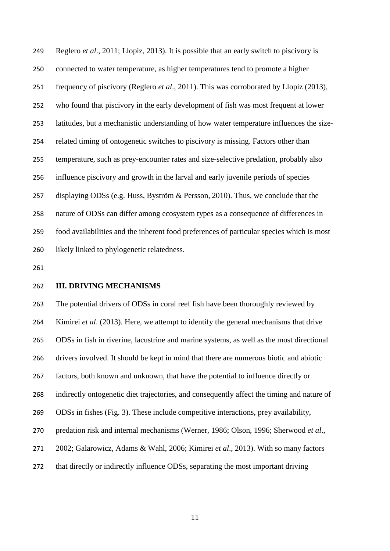Reglero *et al*., 2011; Llopiz, 2013). It is possible that an early switch to piscivory is connected to water temperature, as higher temperatures tend to promote a higher frequency of piscivory (Reglero *et al*., 2011). This was corroborated by Llopiz (2013), who found that piscivory in the early development of fish was most frequent at lower latitudes, but a mechanistic understanding of how water temperature influences the size- related timing of ontogenetic switches to piscivory is missing. Factors other than temperature, such as prey-encounter rates and size-selective predation, probably also influence piscivory and growth in the larval and early juvenile periods of species displaying ODSs (e.g. Huss, Byström & Persson, 2010). Thus, we conclude that the nature of ODSs can differ among ecosystem types as a consequence of differences in food availabilities and the inherent food preferences of particular species which is most likely linked to phylogenetic relatedness.

**III. DRIVING MECHANISMS**

 The potential drivers of ODSs in coral reef fish have been thoroughly reviewed by Kimirei *et al*. (2013). Here, we attempt to identify the general mechanisms that drive ODSs in fish in riverine, lacustrine and marine systems, as well as the most directional drivers involved. It should be kept in mind that there are numerous biotic and abiotic factors, both known and unknown, that have the potential to influence directly or indirectly ontogenetic diet trajectories, and consequently affect the timing and nature of ODSs in fishes (Fig. 3). These include competitive interactions, prey availability, predation risk and internal mechanisms (Werner, 1986; Olson, 1996; Sherwood *et al*., 2002; Galarowicz, Adams & Wahl, 2006; Kimirei *et al*., 2013). With so many factors that directly or indirectly influence ODSs, separating the most important driving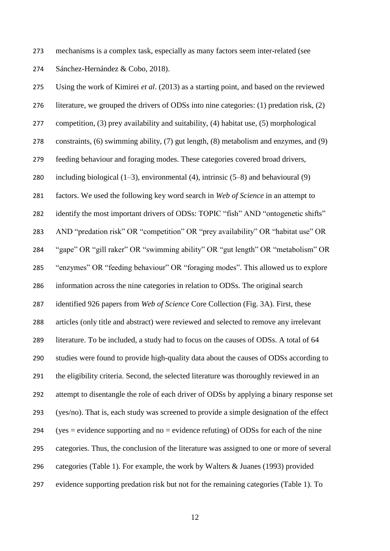mechanisms is a complex task, especially as many factors seem inter-related (see Sánchez-Hernández & Cobo, 2018).

 Using the work of Kimirei *et al*. (2013) as a starting point, and based on the reviewed literature, we grouped the drivers of ODSs into nine categories: (1) predation risk, (2) competition, (3) prey availability and suitability, (4) habitat use, (5) morphological constraints, (6) swimming ability, (7) gut length, (8) metabolism and enzymes, and (9) feeding behaviour and foraging modes. These categories covered broad drivers, 280 including biological  $(1-3)$ , environmental  $(4)$ , intrinsic  $(5-8)$  and behavioural  $(9)$  factors. We used the following key word search in *Web of Science* in an attempt to 282 identify the most important drivers of ODSs: TOPIC "fish" AND "ontogenetic shifts" AND "predation risk" OR "competition" OR "prey availability" OR "habitat use" OR "gape" OR "gill raker" OR "swimming ability" OR "gut length" OR "metabolism" OR "enzymes" OR "feeding behaviour" OR "foraging modes". This allowed us to explore information across the nine categories in relation to ODSs. The original search identified 926 papers from *Web of Science* Core Collection (Fig. 3A). First, these articles (only title and abstract) were reviewed and selected to remove any irrelevant literature. To be included, a study had to focus on the causes of ODSs. A total of 64 studies were found to provide high-quality data about the causes of ODSs according to the eligibility criteria. Second, the selected literature was thoroughly reviewed in an attempt to disentangle the role of each driver of ODSs by applying a binary response set (yes/no). That is, each study was screened to provide a simple designation of the effect (yes = evidence supporting and no = evidence refuting) of ODSs for each of the nine categories. Thus, the conclusion of the literature was assigned to one or more of several categories (Table 1). For example, the work by Walters & Juanes (1993) provided evidence supporting predation risk but not for the remaining categories (Table 1). To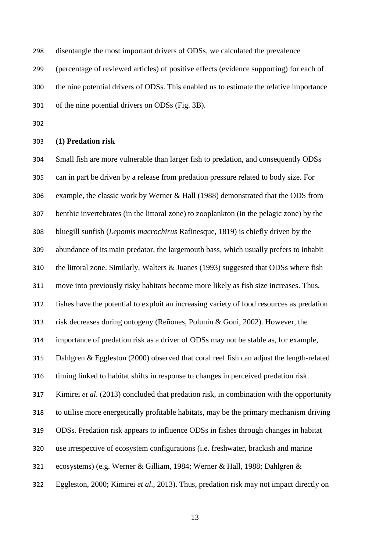disentangle the most important drivers of ODSs, we calculated the prevalence

(percentage of reviewed articles) of positive effects (evidence supporting) for each of

the nine potential drivers of ODSs. This enabled us to estimate the relative importance

of the nine potential drivers on ODSs (Fig. 3B).

**(1) Predation risk**

 Small fish are more vulnerable than larger fish to predation, and consequently ODSs can in part be driven by a release from predation pressure related to body size. For example, the classic work by Werner & Hall (1988) demonstrated that the ODS from benthic invertebrates (in the littoral zone) to zooplankton (in the pelagic zone) by the bluegill sunfish (*Lepomis macrochirus* Rafinesque, 1819) is chiefly driven by the abundance of its main predator, the largemouth bass, which usually prefers to inhabit the littoral zone. Similarly, Walters & Juanes (1993) suggested that ODSs where fish move into previously risky habitats become more likely as fish size increases. Thus, fishes have the potential to exploit an increasing variety of food resources as predation risk decreases during ontogeny (Reñones, Polunin & Goni, 2002). However, the importance of predation risk as a driver of ODSs may not be stable as, for example, Dahlgren & Eggleston (2000) observed that coral reef fish can adjust the length-related timing linked to habitat shifts in response to changes in perceived predation risk. Kimirei *et al*. (2013) concluded that predation risk, in combination with the opportunity to utilise more energetically profitable habitats, may be the primary mechanism driving ODSs. Predation risk appears to influence ODSs in fishes through changes in habitat use irrespective of ecosystem configurations (i.e. freshwater, brackish and marine ecosystems) (e.g. Werner & Gilliam, 1984; Werner & Hall, 1988; Dahlgren & Eggleston, 2000; Kimirei *et al*., 2013). Thus, predation risk may not impact directly on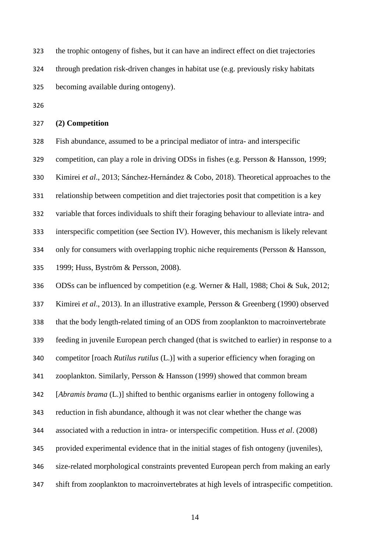the trophic ontogeny of fishes, but it can have an indirect effect on diet trajectories through predation risk-driven changes in habitat use (e.g. previously risky habitats becoming available during ontogeny).

#### **(2) Competition**

Fish abundance, assumed to be a principal mediator of intra- and interspecific

competition, can play a role in driving ODSs in fishes (e.g. Persson & Hansson, 1999;

Kimirei *et al*., 2013; Sánchez-Hernández & Cobo, 2018). Theoretical approaches to the

relationship between competition and diet trajectories posit that competition is a key

variable that forces individuals to shift their foraging behaviour to alleviate intra- and

interspecific competition (see Section IV). However, this mechanism is likely relevant

only for consumers with overlapping trophic niche requirements (Persson & Hansson,

1999; Huss, Byström & Persson, 2008).

ODSs can be influenced by competition (e.g. Werner & Hall, 1988; Choi & Suk, 2012;

Kimirei *et al*., 2013). In an illustrative example, Persson & Greenberg (1990) observed

that the body length-related timing of an ODS from zooplankton to macroinvertebrate

feeding in juvenile European perch changed (that is switched to earlier) in response to a

competitor [roach *Rutilus rutilus* (L.)] with a superior efficiency when foraging on

zooplankton. Similarly, Persson & Hansson (1999) showed that common bream

[*Abramis brama* (L.)] shifted to benthic organisms earlier in ontogeny following a

reduction in fish abundance, although it was not clear whether the change was

associated with a reduction in intra- or interspecific competition. Huss *et al*. (2008)

provided experimental evidence that in the initial stages of fish ontogeny (juveniles),

size-related morphological constraints prevented European perch from making an early

shift from zooplankton to macroinvertebrates at high levels of intraspecific competition.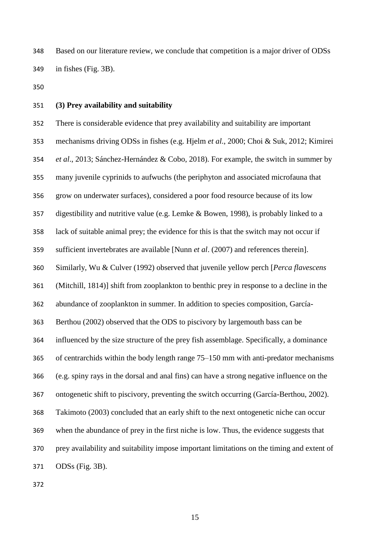Based on our literature review, we conclude that competition is a major driver of ODSs in fishes (Fig. 3B).

#### **(3) Prey availability and suitability**

 There is considerable evidence that prey availability and suitability are important mechanisms driving ODSs in fishes (e.g. Hjelm *et al*., 2000; Choi & Suk, 2012; Kimirei *et al*., 2013; Sánchez-Hernández & Cobo, 2018). For example, the switch in summer by many juvenile cyprinids to aufwuchs (the periphyton and associated microfauna that grow on underwater surfaces), considered a poor food resource because of its low digestibility and nutritive value (e.g. Lemke & Bowen, 1998), is probably linked to a lack of suitable animal prey; the evidence for this is that the switch may not occur if sufficient invertebrates are available [Nunn *et al*. (2007) and references therein]. Similarly, Wu & Culver (1992) observed that juvenile yellow perch [*Perca flavescens*  (Mitchill, 1814)] shift from zooplankton to benthic prey in response to a decline in the abundance of zooplankton in summer. In addition to species composition, García- Berthou (2002) observed that the ODS to piscivory by largemouth bass can be influenced by the size structure of the prey fish assemblage. Specifically, a dominance of centrarchids within the body length range 75–150 mm with anti-predator mechanisms (e.g. spiny rays in the dorsal and anal fins) can have a strong negative influence on the ontogenetic shift to piscivory, preventing the switch occurring (García-Berthou, 2002). Takimoto (2003) concluded that an early shift to the next ontogenetic niche can occur when the abundance of prey in the first niche is low. Thus, the evidence suggests that prey availability and suitability impose important limitations on the timing and extent of ODSs (Fig. 3B).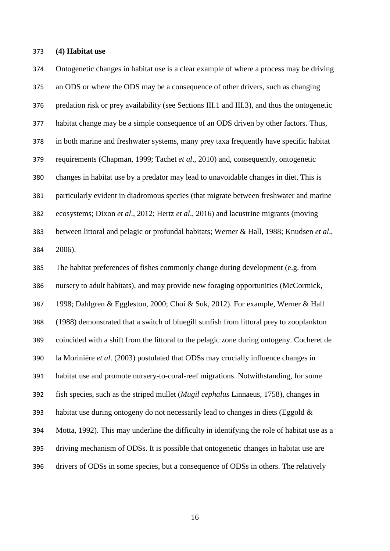#### **(4) Habitat use**

 Ontogenetic changes in habitat use is a clear example of where a process may be driving an ODS or where the ODS may be a consequence of other drivers, such as changing predation risk or prey availability (see Sections III.1 and III.3), and thus the ontogenetic habitat change may be a simple consequence of an ODS driven by other factors. Thus, in both marine and freshwater systems, many prey taxa frequently have specific habitat requirements (Chapman, 1999; Tachet *et al*., 2010) and, consequently, ontogenetic changes in habitat use by a predator may lead to unavoidable changes in diet. This is particularly evident in diadromous species (that migrate between freshwater and marine ecosystems; Dixon *et al*., 2012; Hertz *et al*., 2016) and lacustrine migrants (moving between littoral and pelagic or profundal habitats; Werner & Hall, 1988; Knudsen *et al*., 2006).

 The habitat preferences of fishes commonly change during development (e.g. from nursery to adult habitats), and may provide new foraging opportunities (McCormick, 1998; Dahlgren & Eggleston, 2000; Choi & Suk, 2012). For example, Werner & Hall (1988) demonstrated that a switch of bluegill sunfish from littoral prey to zooplankton coincided with a shift from the littoral to the pelagic zone during ontogeny. Cocheret de la Morinière *et al*. (2003) postulated that ODSs may crucially influence changes in habitat use and promote nursery-to-coral-reef migrations. Notwithstanding, for some fish species, such as the striped mullet (*Mugil cephalus* Linnaeus, 1758), changes in 393 habitat use during ontogeny do not necessarily lead to changes in diets (Eggold  $\&$  Motta, 1992). This may underline the difficulty in identifying the role of habitat use as a driving mechanism of ODSs. It is possible that ontogenetic changes in habitat use are drivers of ODSs in some species, but a consequence of ODSs in others. The relatively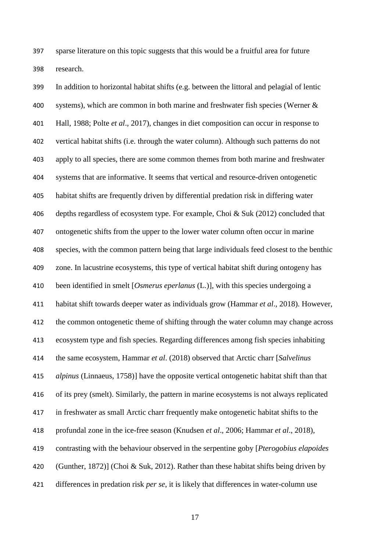sparse literature on this topic suggests that this would be a fruitful area for future research.

 In addition to horizontal habitat shifts (e.g. between the littoral and pelagial of lentic systems), which are common in both marine and freshwater fish species (Werner & Hall, 1988; Polte *et al*., 2017), changes in diet composition can occur in response to vertical habitat shifts (i.e. through the water column). Although such patterns do not apply to all species, there are some common themes from both marine and freshwater systems that are informative. It seems that vertical and resource-driven ontogenetic habitat shifts are frequently driven by differential predation risk in differing water depths regardless of ecosystem type. For example, Choi & Suk (2012) concluded that ontogenetic shifts from the upper to the lower water column often occur in marine species, with the common pattern being that large individuals feed closest to the benthic zone. In lacustrine ecosystems, this type of vertical habitat shift during ontogeny has been identified in smelt [*Osmerus eperlanus* (L.)], with this species undergoing a habitat shift towards deeper water as individuals grow (Hammar *et al*., 2018). However, the common ontogenetic theme of shifting through the water column may change across ecosystem type and fish species. Regarding differences among fish species inhabiting the same ecosystem, Hammar *et al*. (2018) observed that Arctic charr [*Salvelinus alpinus* (Linnaeus, 1758)] have the opposite vertical ontogenetic habitat shift than that of its prey (smelt). Similarly, the pattern in marine ecosystems is not always replicated in freshwater as small Arctic charr frequently make ontogenetic habitat shifts to the profundal zone in the ice-free season (Knudsen *et al*., 2006; Hammar *et al*., 2018), contrasting with the behaviour observed in the serpentine goby [*Pterogobius elapoides* (Gunther, 1872)] (Choi & Suk, 2012). Rather than these habitat shifts being driven by differences in predation risk *per se*, it is likely that differences in water-column use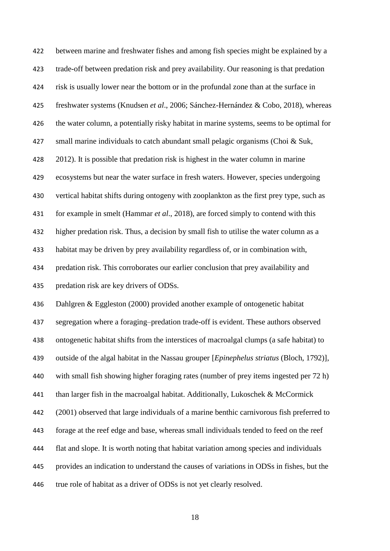between marine and freshwater fishes and among fish species might be explained by a trade-off between predation risk and prey availability. Our reasoning is that predation risk is usually lower near the bottom or in the profundal zone than at the surface in freshwater systems (Knudsen *et al*., 2006; Sánchez-Hernández & Cobo, 2018), whereas the water column, a potentially risky habitat in marine systems, seems to be optimal for small marine individuals to catch abundant small pelagic organisms (Choi & Suk, 2012). It is possible that predation risk is highest in the water column in marine ecosystems but near the water surface in fresh waters. However, species undergoing vertical habitat shifts during ontogeny with zooplankton as the first prey type, such as for example in smelt (Hammar *et al*., 2018), are forced simply to contend with this higher predation risk. Thus, a decision by small fish to utilise the water column as a habitat may be driven by prey availability regardless of, or in combination with, predation risk. This corroborates our earlier conclusion that prey availability and predation risk are key drivers of ODSs.

 Dahlgren & Eggleston (2000) provided another example of ontogenetic habitat segregation where a foraging–predation trade-off is evident. These authors observed ontogenetic habitat shifts from the interstices of macroalgal clumps (a safe habitat) to outside of the algal habitat in the Nassau grouper [*Epinephelus striatus* (Bloch, 1792)], with small fish showing higher foraging rates (number of prey items ingested per 72 h) than larger fish in the macroalgal habitat. Additionally, Lukoschek & McCormick (2001) observed that large individuals of a marine benthic carnivorous fish preferred to forage at the reef edge and base, whereas small individuals tended to feed on the reef flat and slope. It is worth noting that habitat variation among species and individuals provides an indication to understand the causes of variations in ODSs in fishes, but the true role of habitat as a driver of ODSs is not yet clearly resolved.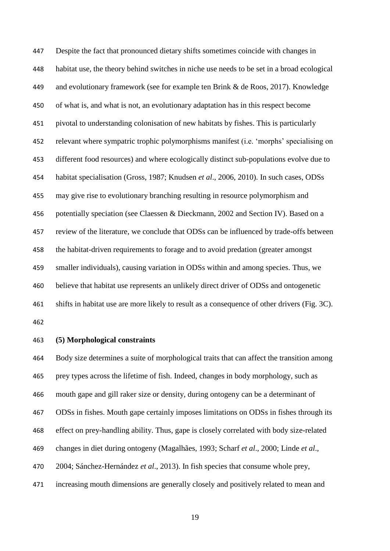Despite the fact that pronounced dietary shifts sometimes coincide with changes in habitat use, the theory behind switches in niche use needs to be set in a broad ecological and evolutionary framework (see for example ten Brink & de Roos, 2017). Knowledge of what is, and what is not, an evolutionary adaptation has in this respect become pivotal to understanding colonisation of new habitats by fishes. This is particularly relevant where sympatric trophic polymorphisms manifest (i.e. 'morphs' specialising on different food resources) and where ecologically distinct sub-populations evolve due to habitat specialisation (Gross, 1987; Knudsen *et al*., 2006, 2010). In such cases, ODSs may give rise to evolutionary branching resulting in resource polymorphism and potentially speciation (see Claessen & Dieckmann, 2002 and Section IV). Based on a review of the literature, we conclude that ODSs can be influenced by trade-offs between the habitat-driven requirements to forage and to avoid predation (greater amongst smaller individuals), causing variation in ODSs within and among species. Thus, we believe that habitat use represents an unlikely direct driver of ODSs and ontogenetic shifts in habitat use are more likely to result as a consequence of other drivers (Fig. 3C). 

#### **(5) Morphological constraints**

 Body size determines a suite of morphological traits that can affect the transition among prey types across the lifetime of fish. Indeed, changes in body morphology, such as mouth gape and gill raker size or density, during ontogeny can be a determinant of ODSs in fishes. Mouth gape certainly imposes limitations on ODSs in fishes through its effect on prey-handling ability. Thus, gape is closely correlated with body size-related changes in diet during ontogeny (Magalhães, 1993; Scharf *et al*., 2000; Linde *et al*., 2004; Sánchez-Hernández *et al*., 2013). In fish species that consume whole prey, increasing mouth dimensions are generally closely and positively related to mean and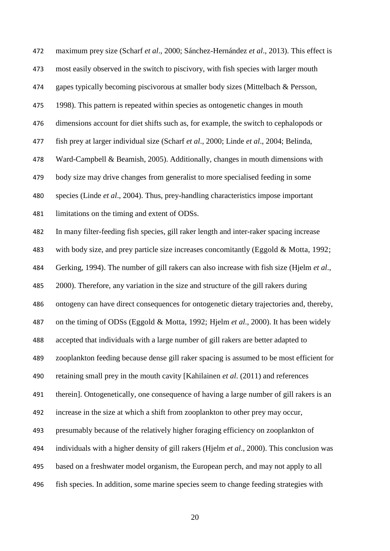maximum prey size (Scharf *et al*., 2000; Sánchez-Hernández *et al*., 2013). This effect is most easily observed in the switch to piscivory, with fish species with larger mouth gapes typically becoming piscivorous at smaller body sizes (Mittelbach & Persson, 1998). This pattern is repeated within species as ontogenetic changes in mouth dimensions account for diet shifts such as, for example, the switch to cephalopods or fish prey at larger individual size (Scharf *et al*., 2000; Linde *et al*., 2004; Belinda, Ward-Campbell & Beamish, 2005). Additionally, changes in mouth dimensions with body size may drive changes from generalist to more specialised feeding in some species (Linde *et al*., 2004). Thus, prey-handling characteristics impose important limitations on the timing and extent of ODSs. In many filter-feeding fish species, gill raker length and inter-raker spacing increase with body size, and prey particle size increases concomitantly (Eggold & Motta, 1992; Gerking, 1994). The number of gill rakers can also increase with fish size (Hjelm *et al*., 2000). Therefore, any variation in the size and structure of the gill rakers during ontogeny can have direct consequences for ontogenetic dietary trajectories and, thereby, on the timing of ODSs (Eggold & Motta, 1992; Hjelm *et al*., 2000). It has been widely accepted that individuals with a large number of gill rakers are better adapted to zooplankton feeding because dense gill raker spacing is assumed to be most efficient for retaining small prey in the mouth cavity [Kahilainen *et al*. (2011) and references therein]. Ontogenetically, one consequence of having a large number of gill rakers is an increase in the size at which a shift from zooplankton to other prey may occur, presumably because of the relatively higher foraging efficiency on zooplankton of individuals with a higher density of gill rakers (Hjelm *et al*., 2000). This conclusion was based on a freshwater model organism, the European perch, and may not apply to all fish species. In addition, some marine species seem to change feeding strategies with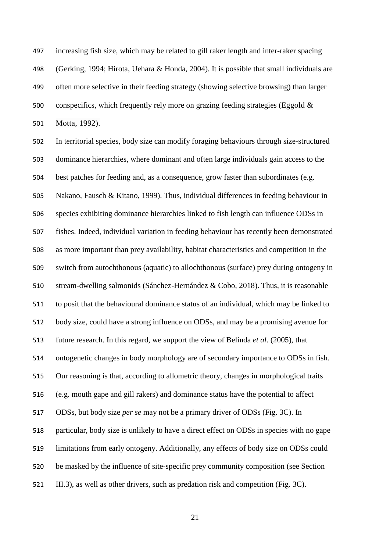increasing fish size, which may be related to gill raker length and inter-raker spacing (Gerking, 1994; Hirota, Uehara & Honda, 2004). It is possible that small individuals are often more selective in their feeding strategy (showing selective browsing) than larger 500 conspecifics, which frequently rely more on grazing feeding strategies (Eggold  $\&$ Motta, 1992).

 In territorial species, body size can modify foraging behaviours through size-structured dominance hierarchies, where dominant and often large individuals gain access to the best patches for feeding and, as a consequence, grow faster than subordinates (e.g. Nakano, Fausch & Kitano, 1999). Thus, individual differences in feeding behaviour in species exhibiting dominance hierarchies linked to fish length can influence ODSs in fishes. Indeed, individual variation in feeding behaviour has recently been demonstrated as more important than prey availability, habitat characteristics and competition in the switch from autochthonous (aquatic) to allochthonous (surface) prey during ontogeny in stream-dwelling salmonids (Sánchez-Hernández & Cobo, 2018). Thus, it is reasonable to posit that the behavioural dominance status of an individual, which may be linked to body size, could have a strong influence on ODSs, and may be a promising avenue for future research. In this regard, we support the view of Belinda *et al*. (2005), that ontogenetic changes in body morphology are of secondary importance to ODSs in fish. Our reasoning is that, according to allometric theory, changes in morphological traits (e.g. mouth gape and gill rakers) and dominance status have the potential to affect ODSs, but body size *per se* may not be a primary driver of ODSs (Fig. 3C). In particular, body size is unlikely to have a direct effect on ODSs in species with no gape limitations from early ontogeny. Additionally, any effects of body size on ODSs could be masked by the influence of site-specific prey community composition (see Section III.3), as well as other drivers, such as predation risk and competition (Fig. 3C).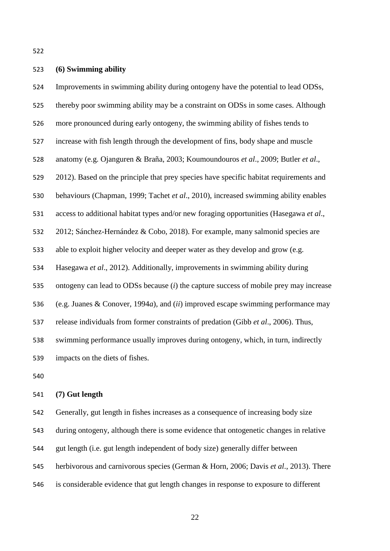## **(6) Swimming ability**

 Improvements in swimming ability during ontogeny have the potential to lead ODSs, thereby poor swimming ability may be a constraint on ODSs in some cases. Although more pronounced during early ontogeny, the swimming ability of fishes tends to increase with fish length through the development of fins, body shape and muscle anatomy (e.g. Ojanguren & Braña, 2003; Koumoundouros *et al*., 2009; Butler *et al*., 2012). Based on the principle that prey species have specific habitat requirements and behaviours (Chapman, 1999; Tachet *et al*., 2010), increased swimming ability enables access to additional habitat types and/or new foraging opportunities (Hasegawa *et al*., 2012; Sánchez-Hernández & Cobo, 2018). For example, many salmonid species are able to exploit higher velocity and deeper water as they develop and grow (e.g. Hasegawa *et al*., 2012). Additionally, improvements in swimming ability during ontogeny can lead to ODSs because (*i*) the capture success of mobile prey may increase (e.g. Juanes & Conover, 1994*a*), and (*ii*) improved escape swimming performance may release individuals from former constraints of predation (Gibb *et al*., 2006). Thus, swimming performance usually improves during ontogeny, which, in turn, indirectly impacts on the diets of fishes.

#### **(7) Gut length**

 Generally, gut length in fishes increases as a consequence of increasing body size during ontogeny, although there is some evidence that ontogenetic changes in relative gut length (i.e. gut length independent of body size) generally differ between herbivorous and carnivorous species (German & Horn, 2006; Davis *et al*., 2013). There is considerable evidence that gut length changes in response to exposure to different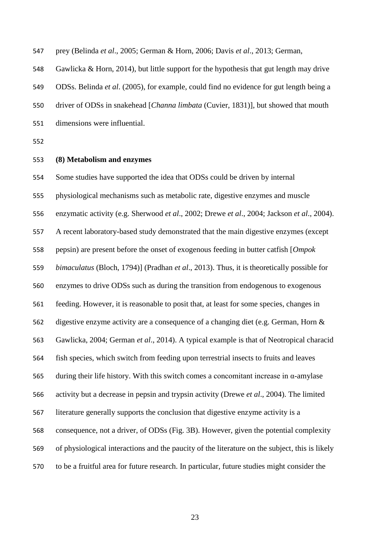prey (Belinda *et al*., 2005; German & Horn, 2006; Davis *et al*., 2013; German,

Gawlicka & Horn, 2014), but little support for the hypothesis that gut length may drive

ODSs. Belinda *et al*. (2005), for example, could find no evidence for gut length being a

driver of ODSs in snakehead [*Channa limbata* (Cuvier, 1831)], but showed that mouth

- dimensions were influential.
- 

## **(8) Metabolism and enzymes**

 Some studies have supported the idea that ODSs could be driven by internal physiological mechanisms such as metabolic rate, digestive enzymes and muscle enzymatic activity (e.g. Sherwood *et al*., 2002; Drewe *et al*., 2004; Jackson *et al*., 2004). A recent laboratory-based study demonstrated that the main digestive enzymes (except pepsin) are present before the onset of exogenous feeding in butter catfish [*Ompok bimaculatus* (Bloch, 1794)] (Pradhan *et al*., 2013). Thus, it is theoretically possible for enzymes to drive ODSs such as during the transition from endogenous to exogenous feeding. However, it is reasonable to posit that, at least for some species, changes in digestive enzyme activity are a consequence of a changing diet (e.g. German, Horn & Gawlicka, 2004; German *et al*., 2014). A typical example is that of Neotropical characid fish species, which switch from feeding upon terrestrial insects to fruits and leaves during their life history. With this switch comes a concomitant increase in α-amylase activity but a decrease in pepsin and trypsin activity (Drewe *et al*., 2004). The limited literature generally supports the conclusion that digestive enzyme activity is a consequence, not a driver, of ODSs (Fig. 3B). However, given the potential complexity of physiological interactions and the paucity of the literature on the subject, this is likely to be a fruitful area for future research. In particular, future studies might consider the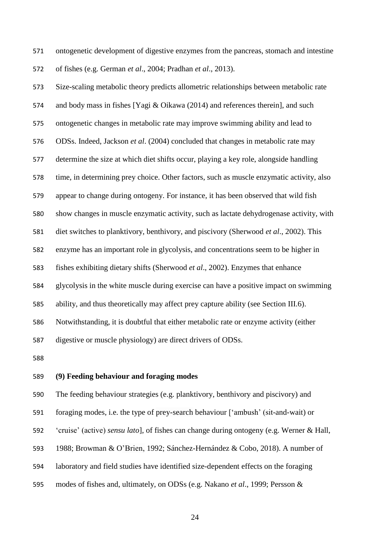ontogenetic development of digestive enzymes from the pancreas, stomach and intestine of fishes (e.g. German *et al*., 2004; Pradhan *et al*., 2013).

 Size-scaling metabolic theory predicts allometric relationships between metabolic rate and body mass in fishes [Yagi & Oikawa (2014) and references therein], and such ontogenetic changes in metabolic rate may improve swimming ability and lead to ODSs. Indeed, Jackson *et al*. (2004) concluded that changes in metabolic rate may determine the size at which diet shifts occur, playing a key role, alongside handling time, in determining prey choice. Other factors, such as muscle enzymatic activity, also appear to change during ontogeny. For instance, it has been observed that wild fish show changes in muscle enzymatic activity, such as lactate dehydrogenase activity, with diet switches to planktivory, benthivory, and piscivory (Sherwood *et al*., 2002). This enzyme has an important role in glycolysis, and concentrations seem to be higher in fishes exhibiting dietary shifts (Sherwood *et al*., 2002). Enzymes that enhance glycolysis in the white muscle during exercise can have a positive impact on swimming ability, and thus theoretically may affect prey capture ability (see Section III.6). Notwithstanding, it is doubtful that either metabolic rate or enzyme activity (either digestive or muscle physiology) are direct drivers of ODSs.

## **(9) Feeding behaviour and foraging modes**

The feeding behaviour strategies (e.g. planktivory, benthivory and piscivory) and

foraging modes, i.e. the type of prey-search behaviour ['ambush' (sit-and-wait) or

'cruise' (active) *sensu lato*], of fishes can change during ontogeny (e.g. Werner & Hall,

1988; Browman & O'Brien, 1992; Sánchez-Hernández & Cobo, 2018). A number of

laboratory and field studies have identified size-dependent effects on the foraging

modes of fishes and, ultimately, on ODSs (e.g. Nakano *et al*., 1999; Persson &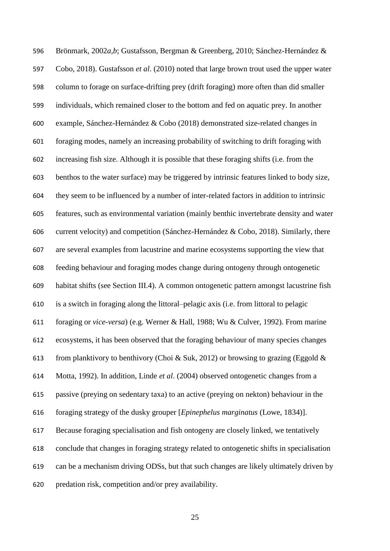Brönmark, 2002*a*,*b*; Gustafsson, Bergman & Greenberg, 2010; Sánchez-Hernández & Cobo, 2018). Gustafsson *et al*. (2010) noted that large brown trout used the upper water column to forage on surface-drifting prey (drift foraging) more often than did smaller individuals, which remained closer to the bottom and fed on aquatic prey. In another example, Sánchez-Hernández & Cobo (2018) demonstrated size-related changes in foraging modes, namely an increasing probability of switching to drift foraging with increasing fish size. Although it is possible that these foraging shifts (i.e. from the benthos to the water surface) may be triggered by intrinsic features linked to body size, they seem to be influenced by a number of inter-related factors in addition to intrinsic features, such as environmental variation (mainly benthic invertebrate density and water current velocity) and competition (Sánchez-Hernández & Cobo, 2018). Similarly, there are several examples from lacustrine and marine ecosystems supporting the view that feeding behaviour and foraging modes change during ontogeny through ontogenetic habitat shifts (see Section III.4). A common ontogenetic pattern amongst lacustrine fish is a switch in foraging along the littoral–pelagic axis (i.e. from littoral to pelagic foraging or *vice-versa*) (e.g. Werner & Hall, 1988; Wu & Culver, 1992). From marine ecosystems, it has been observed that the foraging behaviour of many species changes 613 from planktivory to benthivory (Choi & Suk, 2012) or browsing to grazing (Eggold & Motta, 1992). In addition, Linde *et al*. (2004) observed ontogenetic changes from a passive (preying on sedentary taxa) to an active (preying on nekton) behaviour in the foraging strategy of the dusky grouper [*Epinephelus marginatus* (Lowe, 1834)]. Because foraging specialisation and fish ontogeny are closely linked, we tentatively conclude that changes in foraging strategy related to ontogenetic shifts in specialisation can be a mechanism driving ODSs, but that such changes are likely ultimately driven by predation risk, competition and/or prey availability.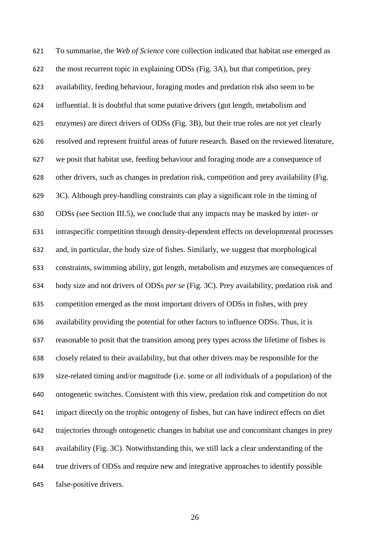To summarise, the *Web of Science* core collection indicated that habitat use emerged as the most recurrent topic in explaining ODSs (Fig. 3A), but that competition, prey availability, feeding behaviour, foraging modes and predation risk also seem to be influential. It is doubtful that some putative drivers (gut length, metabolism and enzymes) are direct drivers of ODSs (Fig. 3B), but their true roles are not yet clearly resolved and represent fruitful areas of future research. Based on the reviewed literature, we posit that habitat use, feeding behaviour and foraging mode are a consequence of other drivers, such as changes in predation risk, competition and prey availability (Fig. 3C). Although prey-handling constraints can play a significant role in the timing of ODSs (see Section III.5), we conclude that any impacts may be masked by inter- or intraspecific competition through density-dependent effects on developmental processes and, in particular, the body size of fishes. Similarly, we suggest that morphological constraints, swimming ability, gut length, metabolism and enzymes are consequences of body size and not drivers of ODSs *per se* (Fig. 3C). Prey availability, predation risk and competition emerged as the most important drivers of ODSs in fishes, with prey availability providing the potential for other factors to influence ODSs. Thus, it is reasonable to posit that the transition among prey types across the lifetime of fishes is closely related to their availability, but that other drivers may be responsible for the size-related timing and/or magnitude (i.e. some or all individuals of a population) of the ontogenetic switches. Consistent with this view, predation risk and competition do not impact directly on the trophic ontogeny of fishes, but can have indirect effects on diet trajectories through ontogenetic changes in habitat use and concomitant changes in prey availability (Fig. 3C). Notwithstanding this, we still lack a clear understanding of the true drivers of ODSs and require new and integrative approaches to identify possible false-positive drivers.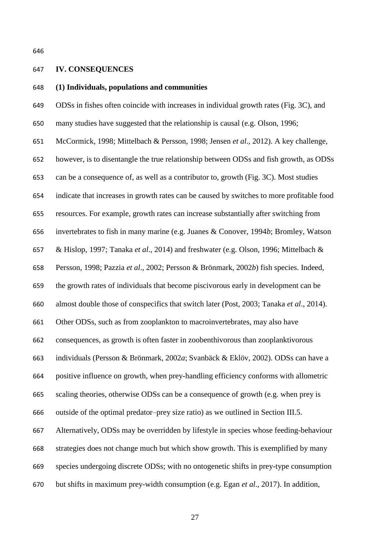### **IV. CONSEQUENCES**

## **(1) Individuals, populations and communities**

 ODSs in fishes often coincide with increases in individual growth rates (Fig. 3C), and many studies have suggested that the relationship is causal (e.g. Olson, 1996; McCormick, 1998; Mittelbach & Persson, 1998; Jensen *et al*., 2012). A key challenge, however, is to disentangle the true relationship between ODSs and fish growth, as ODSs can be a consequence of, as well as a contributor to, growth (Fig. 3C). Most studies indicate that increases in growth rates can be caused by switches to more profitable food resources. For example, growth rates can increase substantially after switching from invertebrates to fish in many marine (e.g. Juanes & Conover, 1994*b*; Bromley, Watson & Hislop, 1997; Tanaka *et al*., 2014) and freshwater (e.g. Olson, 1996; Mittelbach & Persson, 1998; Pazzia *et al*., 2002; Persson & Brönmark, 2002*b*) fish species. Indeed, the growth rates of individuals that become piscivorous early in development can be almost double those of conspecifics that switch later (Post, 2003; Tanaka *et al*., 2014). Other ODSs, such as from zooplankton to macroinvertebrates, may also have consequences, as growth is often faster in zoobenthivorous than zooplanktivorous individuals (Persson & Brönmark, 2002*a*; Svanbäck & Eklöv, 2002). ODSs can have a positive influence on growth, when prey-handling efficiency conforms with allometric scaling theories, otherwise ODSs can be a consequence of growth (e.g. when prey is outside of the optimal predator–prey size ratio) as we outlined in Section III.5. Alternatively, ODSs may be overridden by lifestyle in species whose feeding-behaviour strategies does not change much but which show growth. This is exemplified by many species undergoing discrete ODSs; with no ontogenetic shifts in prey-type consumption but shifts in maximum prey-width consumption (e.g. Egan *et al*., 2017). In addition,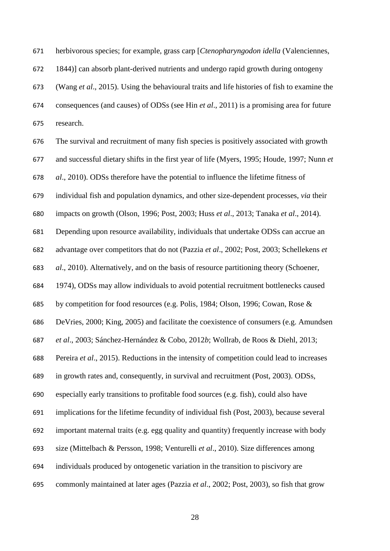herbivorous species; for example, grass carp [*Ctenopharyngodon idella* (Valenciennes,

1844)] can absorb plant-derived nutrients and undergo rapid growth during ontogeny

 (Wang *et al*., 2015). Using the behavioural traits and life histories of fish to examine the consequences (and causes) of ODSs (see Hin *et al*., 2011) is a promising area for future research.

 The survival and recruitment of many fish species is positively associated with growth and successful dietary shifts in the first year of life (Myers, 1995; Houde, 1997; Nunn *et al*., 2010). ODSs therefore have the potential to influence the lifetime fitness of individual fish and population dynamics, and other size-dependent processes, *via* their impacts on growth (Olson, 1996; Post, 2003; Huss *et al*., 2013; Tanaka *et al*., 2014). Depending upon resource availability, individuals that undertake ODSs can accrue an advantage over competitors that do not (Pazzia *et al*., 2002; Post, 2003; Schellekens *et al*., 2010). Alternatively, and on the basis of resource partitioning theory (Schoener, 1974), ODSs may allow individuals to avoid potential recruitment bottlenecks caused by competition for food resources (e.g. Polis, 1984; Olson, 1996; Cowan, Rose & DeVries, 2000; King, 2005) and facilitate the coexistence of consumers (e.g. Amundsen *et al*., 2003; Sánchez-Hernández & Cobo, 2012*b*; Wollrab, de Roos & Diehl, 2013; Pereira *et al*., 2015). Reductions in the intensity of competition could lead to increases in growth rates and, consequently, in survival and recruitment (Post, 2003). ODSs, especially early transitions to profitable food sources (e.g. fish), could also have implications for the lifetime fecundity of individual fish (Post, 2003), because several important maternal traits (e.g. egg quality and quantity) frequently increase with body size (Mittelbach & Persson, 1998; Venturelli *et al*., 2010). Size differences among individuals produced by ontogenetic variation in the transition to piscivory are commonly maintained at later ages (Pazzia *et al*., 2002; Post, 2003), so fish that grow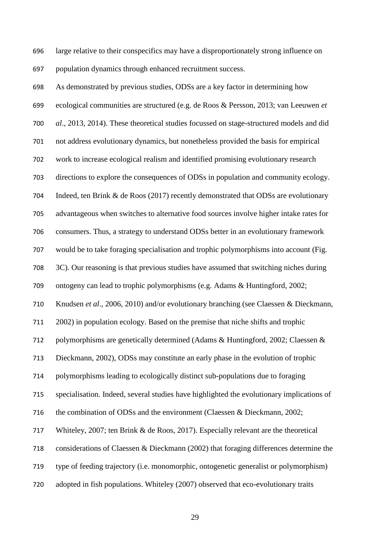large relative to their conspecifics may have a disproportionately strong influence on population dynamics through enhanced recruitment success.

 As demonstrated by previous studies, ODSs are a key factor in determining how ecological communities are structured (e.g. de Roos & Persson, 2013; van Leeuwen *et al*., 2013, 2014). These theoretical studies focussed on stage-structured models and did not address evolutionary dynamics, but nonetheless provided the basis for empirical work to increase ecological realism and identified promising evolutionary research directions to explore the consequences of ODSs in population and community ecology. Indeed, ten Brink & de Roos (2017) recently demonstrated that ODSs are evolutionary advantageous when switches to alternative food sources involve higher intake rates for consumers. Thus, a strategy to understand ODSs better in an evolutionary framework would be to take foraging specialisation and trophic polymorphisms into account (Fig. 3C). Our reasoning is that previous studies have assumed that switching niches during ontogeny can lead to trophic polymorphisms (e.g. Adams & Huntingford, 2002; Knudsen *et al*., 2006, 2010) and/or evolutionary branching (see Claessen & Dieckmann, 2002) in population ecology. Based on the premise that niche shifts and trophic polymorphisms are genetically determined (Adams & Huntingford, 2002; Claessen & Dieckmann, 2002), ODSs may constitute an early phase in the evolution of trophic polymorphisms leading to ecologically distinct sub-populations due to foraging specialisation. Indeed, several studies have highlighted the evolutionary implications of the combination of ODSs and the environment (Claessen & Dieckmann, 2002; Whiteley, 2007; ten Brink & de Roos, 2017). Especially relevant are the theoretical considerations of Claessen & Dieckmann (2002) that foraging differences determine the type of feeding trajectory (i.e. monomorphic, ontogenetic generalist or polymorphism) adopted in fish populations. Whiteley (2007) observed that eco-evolutionary traits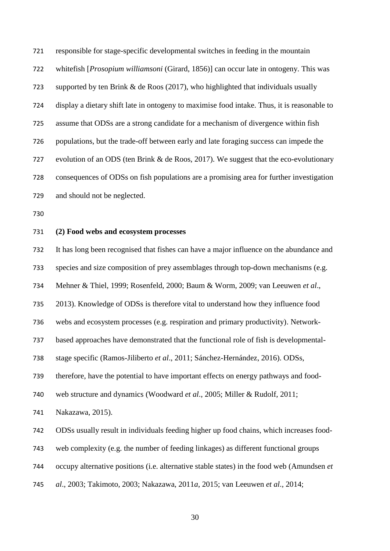responsible for stage-specific developmental switches in feeding in the mountain whitefish [*Prosopium williamsoni* (Girard, 1856)] can occur late in ontogeny. This was supported by ten Brink & de Roos (2017), who highlighted that individuals usually display a dietary shift late in ontogeny to maximise food intake. Thus, it is reasonable to assume that ODSs are a strong candidate for a mechanism of divergence within fish populations, but the trade-off between early and late foraging success can impede the evolution of an ODS (ten Brink & de Roos, 2017). We suggest that the eco-evolutionary consequences of ODSs on fish populations are a promising area for further investigation and should not be neglected.

#### **(2) Food webs and ecosystem processes**

It has long been recognised that fishes can have a major influence on the abundance and

species and size composition of prey assemblages through top-down mechanisms (e.g.

Mehner & Thiel, 1999; Rosenfeld, 2000; Baum & Worm, 2009; van Leeuwen *et al*.,

2013). Knowledge of ODSs is therefore vital to understand how they influence food

webs and ecosystem processes (e.g. respiration and primary productivity). Network-

based approaches have demonstrated that the functional role of fish is developmental-

stage specific (Ramos-Jiliberto *et al*., 2011; Sánchez-Hernández, 2016). ODSs,

therefore, have the potential to have important effects on energy pathways and food-

web structure and dynamics (Woodward *et al*., 2005; Miller & Rudolf, 2011;

Nakazawa, 2015).

ODSs usually result in individuals feeding higher up food chains, which increases food-

web complexity (e.g. the number of feeding linkages) as different functional groups

occupy alternative positions (i.e. alternative stable states) in the food web (Amundsen *et* 

*al*., 2003; Takimoto, 2003; Nakazawa, 2011*a*, 2015; van Leeuwen *et al*., 2014;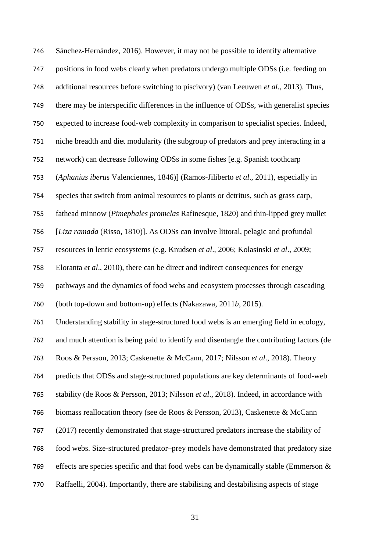Sánchez-Hernández, 2016). However, it may not be possible to identify alternative positions in food webs clearly when predators undergo multiple ODSs (i.e. feeding on additional resources before switching to piscivory) (van Leeuwen *et al*., 2013). Thus, there may be interspecific differences in the influence of ODSs, with generalist species expected to increase food-web complexity in comparison to specialist species. Indeed, niche breadth and diet modularity (the subgroup of predators and prey interacting in a network) can decrease following ODSs in some fishes [e.g. Spanish toothcarp (*Aphanius iberu*s Valenciennes, 1846)] (Ramos-Jiliberto *et al*., 2011), especially in species that switch from animal resources to plants or detritus, such as grass carp, fathead minnow (*Pimephales promelas* Rafinesque, 1820) and thin-lipped grey mullet [*Liza ramada* (Risso, 1810)]. As ODSs can involve littoral, pelagic and profundal resources in lentic ecosystems (e.g. Knudsen *et al*., 2006; Kolasinski *et al*., 2009; Eloranta *et al*., 2010), there can be direct and indirect consequences for energy pathways and the dynamics of food webs and ecosystem processes through cascading (both top-down and bottom-up) effects (Nakazawa, 2011*b*, 2015). Understanding stability in stage-structured food webs is an emerging field in ecology, and much attention is being paid to identify and disentangle the contributing factors (de Roos & Persson, 2013; Caskenette & McCann, 2017; Nilsson *et al*., 2018). Theory predicts that ODSs and stage-structured populations are key determinants of food-web stability (de Roos & Persson, 2013; Nilsson *et al*., 2018). Indeed, in accordance with biomass reallocation theory (see de Roos & Persson, 2013), Caskenette & McCann (2017) recently demonstrated that stage-structured predators increase the stability of food webs. Size-structured predator–prey models have demonstrated that predatory size 769 effects are species specific and that food webs can be dynamically stable (Emmerson  $\&$ Raffaelli, 2004). Importantly, there are stabilising and destabilising aspects of stage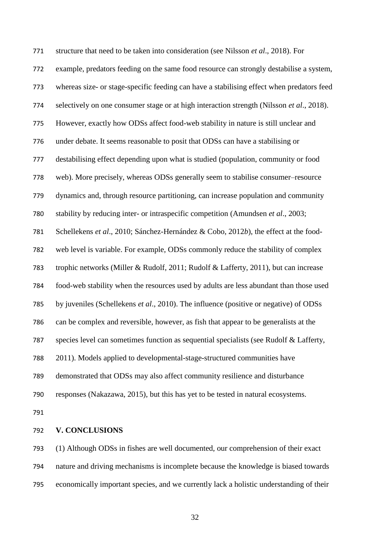structure that need to be taken into consideration (see Nilsson *et al*., 2018). For example, predators feeding on the same food resource can strongly destabilise a system, whereas size- or stage-specific feeding can have a stabilising effect when predators feed selectively on one consumer stage or at high interaction strength (Nilsson *et al*., 2018). However, exactly how ODSs affect food-web stability in nature is still unclear and under debate. It seems reasonable to posit that ODSs can have a stabilising or destabilising effect depending upon what is studied (population, community or food web). More precisely, whereas ODSs generally seem to stabilise consumer–resource dynamics and, through resource partitioning, can increase population and community stability by reducing inter- or intraspecific competition (Amundsen *et al*., 2003; Schellekens *et al*., 2010; Sánchez-Hernández & Cobo, 2012*b*), the effect at the food- web level is variable. For example, ODSs commonly reduce the stability of complex trophic networks (Miller & Rudolf, 2011; Rudolf & Lafferty, 2011), but can increase food-web stability when the resources used by adults are less abundant than those used by juveniles (Schellekens *et al*., 2010). The influence (positive or negative) of ODSs can be complex and reversible, however, as fish that appear to be generalists at the species level can sometimes function as sequential specialists (see Rudolf & Lafferty, 2011). Models applied to developmental-stage-structured communities have demonstrated that ODSs may also affect community resilience and disturbance responses (Nakazawa, 2015), but this has yet to be tested in natural ecosystems. 

#### **V. CONCLUSIONS**

 (1) Although ODSs in fishes are well documented, our comprehension of their exact nature and driving mechanisms is incomplete because the knowledge is biased towards economically important species, and we currently lack a holistic understanding of their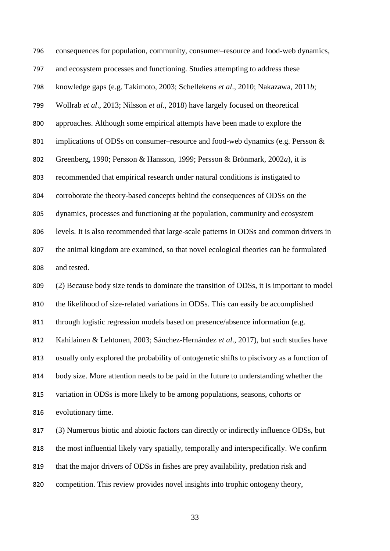| 796 | consequences for population, community, consumer-resource and food-web dynamics,          |
|-----|-------------------------------------------------------------------------------------------|
| 797 | and ecosystem processes and functioning. Studies attempting to address these              |
| 798 | knowledge gaps (e.g. Takimoto, 2003; Schellekens et al., 2010; Nakazawa, 2011b;           |
| 799 | Wollrab et al., 2013; Nilsson et al., 2018) have largely focused on theoretical           |
| 800 | approaches. Although some empirical attempts have been made to explore the                |
| 801 | implications of ODSs on consumer–resource and food-web dynamics (e.g. Persson &           |
| 802 | Greenberg, 1990; Persson & Hansson, 1999; Persson & Brönmark, 2002a), it is               |
| 803 | recommended that empirical research under natural conditions is instigated to             |
| 804 | corroborate the theory-based concepts behind the consequences of ODSs on the              |
| 805 | dynamics, processes and functioning at the population, community and ecosystem            |
| 806 | levels. It is also recommended that large-scale patterns in ODSs and common drivers in    |
| 807 | the animal kingdom are examined, so that novel ecological theories can be formulated      |
| 808 | and tested.                                                                               |
| 809 | (2) Because body size tends to dominate the transition of ODSs, it is important to model  |
| 810 | the likelihood of size-related variations in ODSs. This can easily be accomplished        |
| 811 | through logistic regression models based on presence/absence information (e.g.            |
| 812 | Kahilainen & Lehtonen, 2003; Sánchez-Hernández et al., 2017), but such studies have       |
| 813 | usually only explored the probability of ontogenetic shifts to piscivory as a function of |
| 814 | body size. More attention needs to be paid in the future to understanding whether the     |
| 815 | variation in ODSs is more likely to be among populations, seasons, cohorts or             |
| 816 | evolutionary time.                                                                        |
| 817 | (3) Numerous biotic and abiotic factors can directly or indirectly influence ODSs, but    |
| 818 | the most influential likely vary spatially, temporally and interspecifically. We confirm  |
| 819 | that the major drivers of ODSs in fishes are prey availability, predation risk and        |
| 820 | competition. This review provides novel insights into trophic ontogeny theory,            |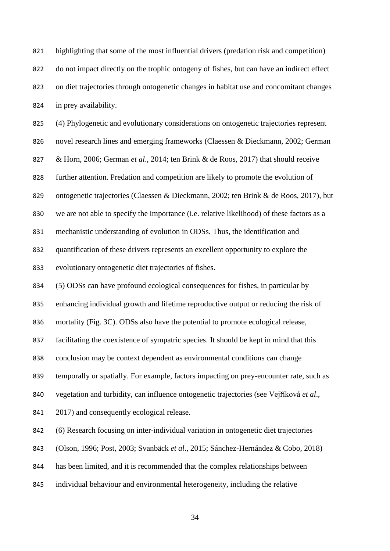highlighting that some of the most influential drivers (predation risk and competition) do not impact directly on the trophic ontogeny of fishes, but can have an indirect effect on diet trajectories through ontogenetic changes in habitat use and concomitant changes in prey availability. (4) Phylogenetic and evolutionary considerations on ontogenetic trajectories represent novel research lines and emerging frameworks (Claessen & Dieckmann, 2002; German & Horn, 2006; German *et al*., 2014; ten Brink & de Roos, 2017) that should receive further attention. Predation and competition are likely to promote the evolution of ontogenetic trajectories (Claessen & Dieckmann, 2002; ten Brink & de Roos, 2017), but we are not able to specify the importance (i.e. relative likelihood) of these factors as a mechanistic understanding of evolution in ODSs. Thus, the identification and quantification of these drivers represents an excellent opportunity to explore the evolutionary ontogenetic diet trajectories of fishes. (5) ODSs can have profound ecological consequences for fishes, in particular by enhancing individual growth and lifetime reproductive output or reducing the risk of mortality (Fig. 3C). ODSs also have the potential to promote ecological release, facilitating the coexistence of sympatric species. It should be kept in mind that this conclusion may be context dependent as environmental conditions can change temporally or spatially. For example, factors impacting on prey-encounter rate, such as vegetation and turbidity, can influence ontogenetic trajectories (see Vejříková *et al*., 2017) and consequently ecological release. (6) Research focusing on inter-individual variation in ontogenetic diet trajectories (Olson, 1996; Post, 2003; Svanbäck *et al*., 2015; Sánchez-Hernández & Cobo, 2018)

- has been limited, and it is recommended that the complex relationships between
- individual behaviour and environmental heterogeneity, including the relative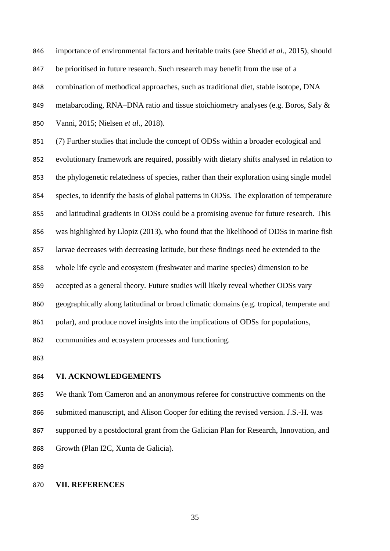importance of environmental factors and heritable traits (see Shedd *et al*., 2015), should

be prioritised in future research. Such research may benefit from the use of a

combination of methodical approaches, such as traditional diet, stable isotope, DNA

849 metabarcoding, RNA–DNA ratio and tissue stoichiometry analyses (e.g. Boros, Saly &

Vanni, 2015; Nielsen *et al*., 2018).

 (7) Further studies that include the concept of ODSs within a broader ecological and evolutionary framework are required, possibly with dietary shifts analysed in relation to the phylogenetic relatedness of species, rather than their exploration using single model species, to identify the basis of global patterns in ODSs. The exploration of temperature and latitudinal gradients in ODSs could be a promising avenue for future research. This was highlighted by Llopiz (2013), who found that the likelihood of ODSs in marine fish larvae decreases with decreasing latitude, but these findings need be extended to the whole life cycle and ecosystem (freshwater and marine species) dimension to be accepted as a general theory. Future studies will likely reveal whether ODSs vary geographically along latitudinal or broad climatic domains (e.g. tropical, temperate and polar), and produce novel insights into the implications of ODSs for populations, communities and ecosystem processes and functioning.

## **VI. ACKNOWLEDGEMENTS**

 We thank Tom Cameron and an anonymous referee for constructive comments on the submitted manuscript, and Alison Cooper for editing the revised version. J.S.-H. was supported by a postdoctoral grant from the Galician Plan for Research, Innovation, and Growth (Plan I2C, Xunta de Galicia).

#### **VII. REFERENCES**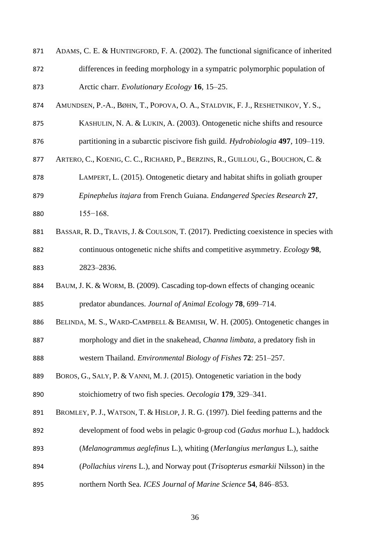| 871 | ADAMS, C. E. & HUNTINGFORD, F. A. (2002). The functional significance of inherited     |
|-----|----------------------------------------------------------------------------------------|
| 872 | differences in feeding morphology in a sympatric polymorphic population of             |
| 873 | Arctic charr. Evolutionary Ecology 16, 15–25.                                          |
| 874 | AMUNDSEN, P.-A., BØHN, T., POPOVA, O. A., STALDVIK, F. J., RESHETNIKOV, Y. S.,         |
| 875 | KASHULIN, N. A. & LUKIN, A. (2003). Ontogenetic niche shifts and resource              |
| 876 | partitioning in a subarctic piscivore fish guild. <i>Hydrobiologia</i> 497, 109–119.   |
| 877 | ARTERO, C., KOENIG, C. C., RICHARD, P., BERZINS, R., GUILLOU, G., BOUCHON, C. &        |
| 878 | LAMPERT, L. (2015). Ontogenetic dietary and habitat shifts in goliath grouper          |
| 879 | Epinephelus itajara from French Guiana. Endangered Species Research 27,                |
| 880 | $155 - 168.$                                                                           |
| 881 | BASSAR, R. D., TRAVIS, J. & COULSON, T. (2017). Predicting coexistence in species with |
| 882 | continuous ontogenetic niche shifts and competitive asymmetry. <i>Ecology</i> 98,      |
| 883 | 2823-2836.                                                                             |
| 884 | BAUM, J. K. & WORM, B. (2009). Cascading top-down effects of changing oceanic          |
| 885 | predator abundances. Journal of Animal Ecology 78, 699-714.                            |
| 886 | BELINDA, M. S., WARD-CAMPBELL & BEAMISH, W. H. (2005). Ontogenetic changes in          |
| 887 | morphology and diet in the snakehead, <i>Channa limbata</i> , a predatory fish in      |
| 888 | western Thailand. <i>Environmental Biology of Fishes</i> <b>72</b> : 251–257.          |
| 889 | BOROS, G., SALY, P. & VANNI, M. J. (2015). Ontogenetic variation in the body           |
| 890 | stoichiometry of two fish species. Oecologia 179, 329–341.                             |
| 891 | BROMLEY, P. J., WATSON, T. & HISLOP, J. R. G. (1997). Diel feeding patterns and the    |
| 892 | development of food webs in pelagic 0-group cod (Gadus morhua L.), haddock             |
| 893 | (Melanogrammus aeglefinus L.), whiting (Merlangius merlangus L.), saithe               |
| 894 | (Pollachius virens L.), and Norway pout (Trisopterus esmarkii Nilsson) in the          |
| 895 | northern North Sea. ICES Journal of Marine Science 54, 846-853.                        |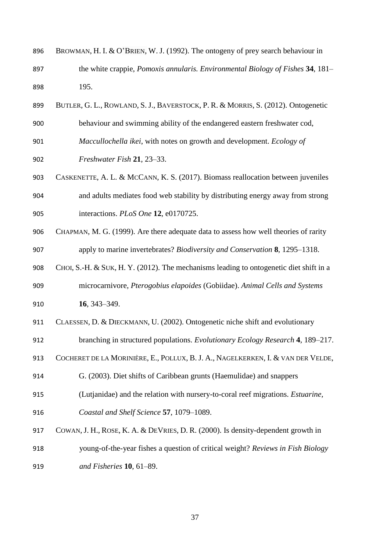| 896 | BROWMAN, H. I. & O'BRIEN, W. J. (1992). The ontogeny of prey search behaviour in        |
|-----|-----------------------------------------------------------------------------------------|
| 897 | the white crappie, Pomoxis annularis. Environmental Biology of Fishes 34, 181–          |
| 898 | 195.                                                                                    |
| 899 | BUTLER, G. L., ROWLAND, S. J., BAVERSTOCK, P. R. & MORRIS, S. (2012). Ontogenetic       |
| 900 | behaviour and swimming ability of the endangered eastern freshwater cod,                |
| 901 | Maccullochella ikei, with notes on growth and development. Ecology of                   |
| 902 | Freshwater Fish 21, 23–33.                                                              |
| 903 | CASKENETTE, A. L. & MCCANN, K. S. (2017). Biomass reallocation between juveniles        |
| 904 | and adults mediates food web stability by distributing energy away from strong          |
| 905 | interactions. PLoS One 12, e0170725.                                                    |
| 906 | CHAPMAN, M. G. (1999). Are there adequate data to assess how well theories of rarity    |
| 907 | apply to marine invertebrates? Biodiversity and Conservation 8, 1295–1318.              |
| 908 | CHOI, S.-H. & SUK, H. Y. (2012). The mechanisms leading to ontogenetic diet shift in a  |
| 909 | microcarnivore, Pterogobius elapoides (Gobiidae). Animal Cells and Systems              |
| 910 | 16, 343-349.                                                                            |
| 911 | CLAESSEN, D. & DIECKMANN, U. (2002). Ontogenetic niche shift and evolutionary           |
| 912 | branching in structured populations. Evolutionary Ecology Research 4, 189-217.          |
| 913 | COCHERET DE LA MORINIÈRE, E., POLLUX, B. J. A., NAGELKERKEN, I. & VAN DER VELDE,        |
| 914 | G. (2003). Diet shifts of Caribbean grunts (Haemulidae) and snappers                    |
| 915 | (Lutjanidae) and the relation with nursery-to-coral reef migrations. <i>Estuarine</i> , |
| 916 | Coastal and Shelf Science 57, 1079-1089.                                                |
| 917 | COWAN, J. H., ROSE, K. A. & DEVRIES, D. R. (2000). Is density-dependent growth in       |
| 918 | young-of-the-year fishes a question of critical weight? Reviews in Fish Biology         |
| 919 | and Fisheries 10, 61-89.                                                                |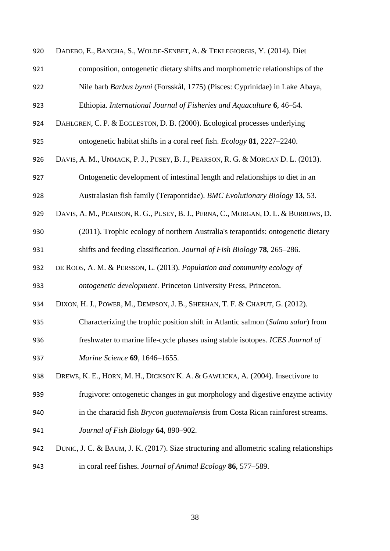| 920 | DADEBO, E., BANCHA, S., WOLDE-SENBET, A. & TEKLEGIORGIS, Y. (2014). Diet                 |
|-----|------------------------------------------------------------------------------------------|
| 921 | composition, ontogenetic dietary shifts and morphometric relationships of the            |
| 922 | Nile barb Barbus bynni (Forsskål, 1775) (Pisces: Cyprinidae) in Lake Abaya,              |
| 923 | Ethiopia. International Journal of Fisheries and Aquaculture 6, 46–54.                   |
| 924 | DAHLGREN, C. P. & EGGLESTON, D. B. (2000). Ecological processes underlying               |
| 925 | ontogenetic habitat shifts in a coral reef fish. <i>Ecology</i> 81, 2227–2240.           |
| 926 | DAVIS, A. M., UNMACK, P. J., PUSEY, B. J., PEARSON, R. G. & MORGAN D. L. (2013).         |
| 927 | Ontogenetic development of intestinal length and relationships to diet in an             |
| 928 | Australasian fish family (Terapontidae). BMC Evolutionary Biology 13, 53.                |
| 929 | DAVIS, A. M., PEARSON, R. G., PUSEY, B. J., PERNA, C., MORGAN, D. L. & BURROWS, D.       |
| 930 | (2011). Trophic ecology of northern Australia's terapontids: ontogenetic dietary         |
| 931 | shifts and feeding classification. Journal of Fish Biology 78, 265–286.                  |
| 932 | DE ROOS, A. M. & PERSSON, L. (2013). Population and community ecology of                 |
| 933 | ontogenetic development. Princeton University Press, Princeton.                          |
| 934 | DIXON, H. J., POWER, M., DEMPSON, J. B., SHEEHAN, T. F. & CHAPUT, G. (2012).             |
| 935 | Characterizing the trophic position shift in Atlantic salmon (Salmo salar) from          |
| 936 | freshwater to marine life-cycle phases using stable isotopes. ICES Journal of            |
| 937 | Marine Science 69, 1646-1655.                                                            |
| 938 | DREWE, K. E., HORN, M. H., DICKSON K. A. & GAWLICKA, A. (2004). Insectivore to           |
| 939 | frugivore: ontogenetic changes in gut morphology and digestive enzyme activity           |
| 940 | in the characid fish <i>Brycon guatemalensis</i> from Costa Rican rainforest streams.    |
| 941 | Journal of Fish Biology 64, 890-902.                                                     |
| 942 | DUNIC, J. C. & BAUM, J. K. (2017). Size structuring and allometric scaling relationships |
| 943 | in coral reef fishes. Journal of Animal Ecology 86, 577–589.                             |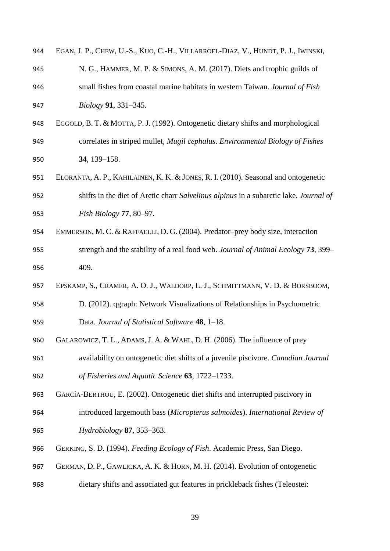| 944 | EGAN, J. P., CHEW, U.-S., KUO, C.-H., VILLARROEL-DIAZ, V., HUNDT, P. J., IWINSKI,     |
|-----|---------------------------------------------------------------------------------------|
| 945 | N. G., HAMMER, M. P. & SIMONS, A. M. (2017). Diets and trophic guilds of              |
| 946 | small fishes from coastal marine habitats in western Taiwan. Journal of Fish          |
| 947 | <i>Biology</i> 91, 331–345.                                                           |
| 948 | EGGOLD, B. T. & MOTTA, P. J. (1992). Ontogenetic dietary shifts and morphological     |
| 949 | correlates in striped mullet, Mugil cephalus. Environmental Biology of Fishes         |
| 950 | 34, 139-158.                                                                          |
| 951 | ELORANTA, A. P., KAHILAINEN, K. K. & JONES, R. I. (2010). Seasonal and ontogenetic    |
| 952 | shifts in the diet of Arctic charr Salvelinus alpinus in a subarctic lake. Journal of |
| 953 | Fish Biology $77, 80-97$ .                                                            |
| 954 | EMMERSON, M. C. & RAFFAELLI, D. G. (2004). Predator-prey body size, interaction       |
| 955 | strength and the stability of a real food web. Journal of Animal Ecology 73, 399-     |
| 956 | 409.                                                                                  |
| 957 | EPSKAMP, S., CRAMER, A. O. J., WALDORP, L. J., SCHMITTMANN, V. D. & BORSBOOM,         |
| 958 | D. (2012). qgraph: Network Visualizations of Relationships in Psychometric            |
| 959 | Data. Journal of Statistical Software 48, 1-18.                                       |
| 960 | GALAROWICZ, T. L., ADAMS, J. A. & WAHL, D. H. (2006). The influence of prey           |
| 961 | availability on ontogenetic diet shifts of a juvenile piscivore. Canadian Journal     |
| 962 | of Fisheries and Aquatic Science 63, 1722–1733.                                       |
| 963 | GARCÍA-BERTHOU, E. (2002). Ontogenetic diet shifts and interrupted piscivory in       |
| 964 | introduced largemouth bass (Micropterus salmoides). International Review of           |
| 965 | Hydrobiology 87, 353–363.                                                             |
| 966 | GERKING, S. D. (1994). Feeding Ecology of Fish. Academic Press, San Diego.            |
| 967 | GERMAN, D. P., GAWLICKA, A. K. & HORN, M. H. (2014). Evolution of ontogenetic         |
| 968 | dietary shifts and associated gut features in prickleback fishes (Teleostei:          |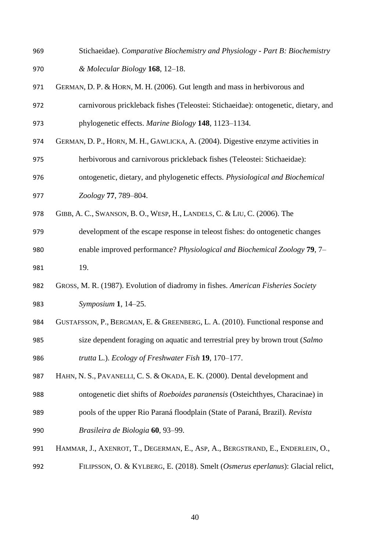Stichaeidae). *Comparative Biochemistry and Physiology - Part B: Biochemistry & Molecular Biology* **168**, 12–18. GERMAN, D. P. & HORN, M. H. (2006). Gut length and mass in herbivorous and carnivorous prickleback fishes (Teleostei: Stichaeidae): ontogenetic, dietary, and phylogenetic effects. *Marine Biology* **148**, 1123–1134. GERMAN, D. P., HORN, M. H., GAWLICKA, A. (2004). Digestive enzyme activities in herbivorous and carnivorous prickleback fishes (Teleostei: Stichaeidae): ontogenetic, dietary, and phylogenetic effects. *Physiological and Biochemical Zoology* **77**, 789–804. GIBB, A. C., SWANSON, B. O., WESP, H., LANDELS, C. & LIU, C. (2006). The development of the escape response in teleost fishes: do ontogenetic changes enable improved performance? *Physiological and Biochemical Zoology* **79**, 7– 19. GROSS, M. R. (1987). Evolution of diadromy in fishes. *American Fisheries Society Symposium* **1**, 14–25. GUSTAFSSON, P., BERGMAN, E. & GREENBERG, L. A. (2010). Functional response and size dependent foraging on aquatic and terrestrial prey by brown trout (*Salmo trutta* L.). *Ecology of Freshwater Fish* **19**, 170–177. HAHN, N. S., PAVANELLI, C. S. & OKADA, E. K. (2000). Dental development and ontogenetic diet shifts of *Roeboides paranensis* (Osteichthyes, Characinae) in pools of the upper Rio Paraná floodplain (State of Paraná, Brazil). *Revista Brasileira de Biologia* **60**, 93–99. HAMMAR, J., AXENROT, T., DEGERMAN, E., ASP, A., BERGSTRAND, E., ENDERLEIN, O., FILIPSSON, O. & KYLBERG, E. (2018). Smelt (*Osmerus eperlanus*): Glacial relict,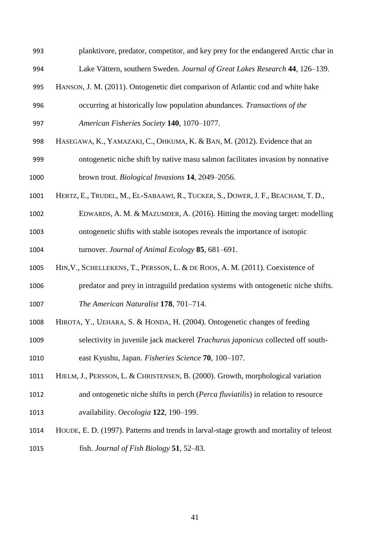- planktivore, predator, competitor, and key prey for the endangered Arctic char in Lake Vättern, southern Sweden. *Journal of Great Lakes Research* **44**, 126–139.
- HANSON, J. M. (2011). Ontogenetic diet comparison of Atlantic cod and white hake
- occurring at historically low population abundances. *Transactions of the American Fisheries Society* **140**, 1070–1077.
- HASEGAWA, K., YAMAZAKI, C., OHKUMA, K. & BAN, M. (2012). Evidence that an
- ontogenetic niche shift by native masu salmon facilitates invasion by nonnative brown trout. *Biological Invasions* **14**, 2049–2056.
- HERTZ, E., TRUDEL, M., EL-SABAAWI, R., TUCKER, S., DOWER, J. F., BEACHAM, T. D.,
- EDWARDS, A. M. & MAZUMDER, A. (2016). Hitting the moving target: modelling ontogenetic shifts with stable isotopes reveals the importance of isotopic

turnover. *Journal of Animal Ecology* **85**, 681–691.

- HIN,V., SCHELLEKENS, T., PERSSON, L. & DE ROOS, A. M. (2011). Coexistence of
- predator and prey in intraguild predation systems with ontogenetic niche shifts. *The American Naturalist* **178**, 701–714.
- HIROTA, Y., UEHARA, S. & HONDA, H. (2004). Ontogenetic changes of feeding
- selectivity in juvenile jack mackerel *Trachurus japonicus* collected off south-
- east Kyushu, Japan. *Fisheries Science* **70**, 100–107.
- HJELM, J., PERSSON, L. & CHRISTENSEN, B. (2000). Growth, morphological variation
- and ontogenetic niche shifts in perch (*Perca fluviatilis*) in relation to resource availability. *Oecologia* **122**, 190–199.
- HOUDE, E. D. (1997). Patterns and trends in larval-stage growth and mortality of teleost fish. *Journal of Fish Biology* **51**, 52–83.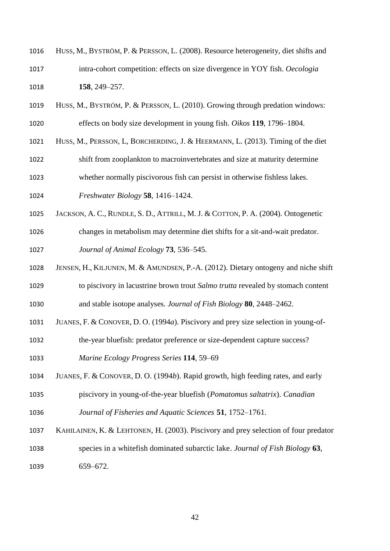- HUSS, M., BYSTRÖM, P. & PERSSON, L. (2008). Resource heterogeneity, diet shifts and intra-cohort competition: effects on size divergence in YOY fish. *Oecologia* **158**, 249–257.
- HUSS, M., BYSTRÖM, P. & PERSSON, L. (2010). Growing through predation windows: effects on body size development in young fish. *Oikos* **119**, 1796–1804.
- HUSS, M., PERSSON, L, BORCHERDING, J. & HEERMANN, L. (2013). Timing of the diet
- shift from zooplankton to macroinvertebrates and size at maturity determine
- whether normally piscivorous fish can persist in otherwise fishless lakes.
- *Freshwater Biology* **58**, 1416–1424.
- JACKSON, A. C., RUNDLE, S. D., ATTRILL, M. J. & COTTON, P. A. (2004). Ontogenetic
- changes in metabolism may determine diet shifts for a sit-and-wait predator. *Journal of Animal Ecology* **73**, 536–545.
- JENSEN, H., KILJUNEN, M. & AMUNDSEN, P.-A. (2012). Dietary ontogeny and niche shift
- to piscivory in lacustrine brown trout *Salmo trutta* revealed by stomach content and stable isotope analyses. *Journal of Fish Biology* **80**, 2448–2462.
- JUANES, F. & CONOVER, D. O. (1994*a*). Piscivory and prey size selection in young-of-
- the-year bluefish: predator preference or size-dependent capture success?
- *Marine Ecology Progress Series* **114**, 59–69
- JUANES, F. & CONOVER, D. O. (1994*b*). Rapid growth, high feeding rates, and early
- piscivory in young-of-the-year bluefish (*Pomatomus saltatrix*). *Canadian Journal of Fisheries and Aquatic Sciences* **51**, 1752–1761.
- KAHILAINEN, K. & LEHTONEN, H. (2003). Piscivory and prey selection of four predator species in a whitefish dominated subarctic lake. *Journal of Fish Biology* **63**,
- 659–672.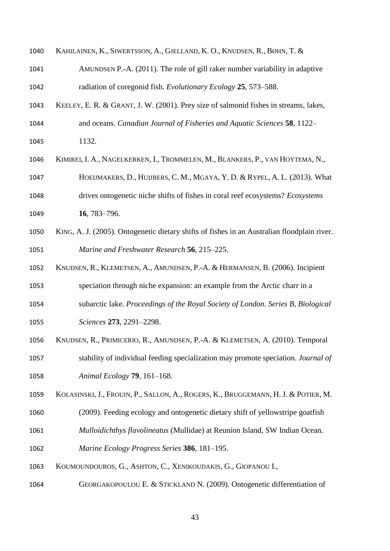- KAHILAINEN, K., SIWERTSSON, A., GJELLAND, K. O., KNUDSEN, R., BØHN, T. &
- AMUNDSEN P.-A. (2011). The role of gill raker number variability in adaptive radiation of coregonid fish. *Evolutionary Ecology* **25**, 573–588.
- KEELEY, E. R. & GRANT, J. W. (2001). Prey size of salmonid fishes in streams, lakes, and oceans. *Canadian Journal of Fisheries and Aquatic Sciences* **58**, 1122–
- 1132.
- KIMIREI, I. A., NAGELKERKEN, I., TROMMELEN, M., BLANKERS, P., VAN HOYTEMA, N.,
- HOEIJMAKERS, D., HUIJBERS, C. M., MGAYA, Y. D. & RYPEL, A. L. (2013). What
- drives ontogenetic niche shifts of fishes in coral reef ecosystems? *Ecosystems* **16**, 783–796.
- KING, A. J. (2005). Ontogenetic dietary shifts of fishes in an Australian floodplain river. *Marine and Freshwater Research* **56**, 215–225.
- KNUDSEN, R., KLEMETSEN, A., AMUNDSEN, P.-A. & HERMANSEN, B. (2006). Incipient
- speciation through niche expansion: an example from the Arctic charr in a
- subarctic lake. *Proceedings of the Royal Society of London. Series B, Biological*
- *Sciences* **273**, 2291–2298.
- KNUDSEN, R., PRIMICERIO, R., AMUNDSEN, P.-A. & KLEMETSEN, A. (2010). Temporal
- stability of individual feeding specialization may promote speciation. *Journal of Animal Ecology* **79**, 161–168.
- KOLASINSKI, J., FROUIN, P., SALLON, A., ROGERS, K., BRUGGEMANN, H. J. & POTIER, M.
- (2009). Feeding ecology and ontogenetic dietary shift of yellowstripe goatfish
- *Mulloidichthys flavolineatus* (Mullidae) at Reunion Island, SW Indian Ocean.
- *Marine Ecology Progress Series* **386**, 181–195.
- KOUMOUNDOUROS, G., ASHTON, C., XENIKOUDAKIS, G., GIOPANOU I.,
- 1064 GEORGAKOPOULOU E. & STICKLAND N. (2009). Ontogenetic differentiation of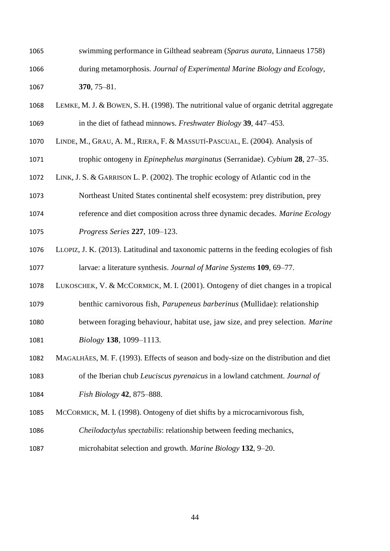- swimming performance in Gilthead seabream (*Sparus aurata*, Linnaeus 1758) during metamorphosis*. Journal of Experimental Marine Biology and Ecology*, **370**, 75–81.
- LEMKE, M. J. & BOWEN, S. H. (1998). The nutritional value of organic detrital aggregate in the diet of fathead minnows. *Freshwater Biology* **39**, 447–453.
- LINDE, M., GRAU, A. M., RIERA, F. & MASSUTÍ-PASCUAL, E. (2004). Analysis of

trophic ontogeny in *Epinephelus marginatus* (Serranidae). *Cybium* **28**, 27–35.

- LINK, J. S. & GARRISON L. P. (2002). The trophic ecology of Atlantic cod in the
- Northeast United States continental shelf ecosystem: prey distribution, prey
- reference and diet composition across three dynamic decades. *Marine Ecology*
- *Progress Series* **227**, 109–123.
- LLOPIZ, J. K. (2013). Latitudinal and taxonomic patterns in the feeding ecologies of fish larvae: a literature synthesis. *Journal of Marine Systems* **109**, 69–77.
- LUKOSCHEK, V. & MCCORMICK, M. I. (2001). Ontogeny of diet changes in a tropical
- benthic carnivorous fish, *Parupeneus barberinus* (Mullidae): relationship
- between foraging behaviour, habitat use, jaw size, and prey selection. *Marine Biology* **138**, 1099–1113.
- MAGALHÃES, M. F. (1993). Effects of season and body-size on the distribution and diet
- of the Iberian chub *Leuciscus pyrenaicus* in a lowland catchment. *Journal of Fish Biology* **42**, 875–888.
- MCCORMICK, M. I. (1998). Ontogeny of diet shifts by a microcarnivorous fish,
- *Cheilodactylus spectabilis*: relationship between feeding mechanics,
- microhabitat selection and growth. *Marine Biology* **132**, 9–20.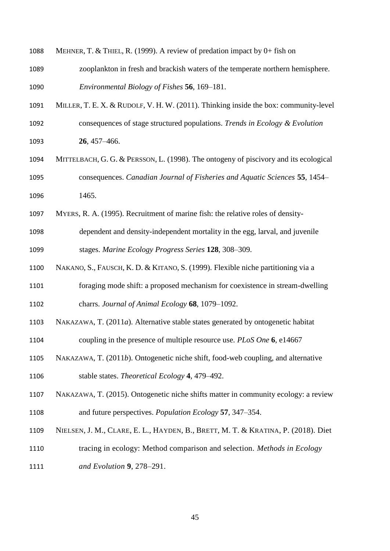| 1088 | MEHNER, T. & THIEL, R. (1999). A review of predation impact by 0+ fish on            |
|------|--------------------------------------------------------------------------------------|
| 1089 | zooplankton in fresh and brackish waters of the temperate northern hemisphere.       |
| 1090 | Environmental Biology of Fishes 56, 169-181.                                         |
| 1091 | MILLER, T. E. X. & RUDOLF, V. H. W. (2011). Thinking inside the box: community-level |
| 1092 | consequences of stage structured populations. Trends in Ecology & Evolution          |
| 1093 | $26,457 - 466.$                                                                      |
| 1094 | MITTELBACH, G. G. & PERSSON, L. (1998). The ontogeny of piscivory and its ecological |
| 1095 | consequences. Canadian Journal of Fisheries and Aquatic Sciences 55, 1454-           |
| 1096 | 1465.                                                                                |
| 1097 | MYERS, R. A. (1995). Recruitment of marine fish: the relative roles of density-      |
| 1098 | dependent and density-independent mortality in the egg, larval, and juvenile         |
| 1099 | stages. Marine Ecology Progress Series 128, 308-309.                                 |
| 1100 | NAKANO, S., FAUSCH, K. D. & KITANO, S. (1999). Flexible niche partitioning via a     |
| 1101 | foraging mode shift: a proposed mechanism for coexistence in stream-dwelling         |
| 1102 | charrs. Journal of Animal Ecology 68, 1079-1092.                                     |
| 1103 | NAKAZAWA, T. (2011a). Alternative stable states generated by ontogenetic habitat     |
| 1104 | coupling in the presence of multiple resource use. <i>PLoS One</i> 6, e14667         |
| 1105 | NAKAZAWA, T. (2011b). Ontogenetic niche shift, food-web coupling, and alternative    |
| 1106 | stable states. Theoretical Ecology 4, 479–492.                                       |
| 1107 | NAKAZAWA, T. (2015). Ontogenetic niche shifts matter in community ecology: a review  |
| 1108 | and future perspectives. Population Ecology 57, 347–354.                             |
| 1109 | NIELSEN, J. M., CLARE, E. L., HAYDEN, B., BRETT, M. T. & KRATINA, P. (2018). Diet    |
| 1110 | tracing in ecology: Method comparison and selection. Methods in Ecology              |
| 1111 | and Evolution 9, 278-291.                                                            |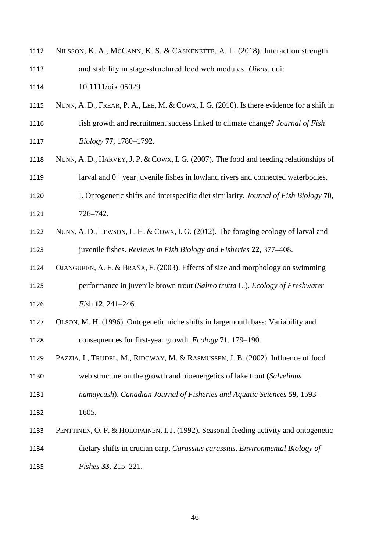| 1112 | NILSSON, K. A., MCCANN, K. S. & CASKENETTE, A. L. (2018). Interaction strength            |
|------|-------------------------------------------------------------------------------------------|
| 1113 | and stability in stage-structured food web modules. Oikos. doi:                           |
| 1114 | 10.1111/oik.05029                                                                         |
| 1115 | NUNN, A. D., FREAR, P. A., LEE, M. & COWX, I. G. (2010). Is there evidence for a shift in |
| 1116 | fish growth and recruitment success linked to climate change? Journal of Fish             |
| 1117 | Biology 77, 1780-1792.                                                                    |
| 1118 | NUNN, A. D., HARVEY, J. P. & COWX, I. G. (2007). The food and feeding relationships of    |
| 1119 | larval and 0+ year juvenile fishes in lowland rivers and connected waterbodies.           |
| 1120 | I. Ontogenetic shifts and interspecific diet similarity. Journal of Fish Biology 70,      |
| 1121 | 726-742.                                                                                  |
| 1122 | NUNN, A. D., TEWSON, L. H. & COWX, I. G. (2012). The foraging ecology of larval and       |
| 1123 | juvenile fishes. Reviews in Fish Biology and Fisheries 22, 377–408.                       |
| 1124 | OJANGUREN, A. F. & BRAÑA, F. (2003). Effects of size and morphology on swimming           |
| 1125 | performance in juvenile brown trout (Salmo trutta L.). Ecology of Freshwater              |
| 1126 | Fish $12$ , $241-246$ .                                                                   |
| 1127 | OLSON, M. H. (1996). Ontogenetic niche shifts in largemouth bass: Variability and         |
| 1128 | consequences for first-year growth. Ecology 71, 179-190.                                  |
| 1129 | PAZZIA, I., TRUDEL, M., RIDGWAY, M. & RASMUSSEN, J. B. (2002). Influence of food          |
| 1130 | web structure on the growth and bioenergetics of lake trout (Salvelinus                   |
| 1131 | namaycush). Canadian Journal of Fisheries and Aquatic Sciences 59, 1593–                  |
| 1132 | 1605.                                                                                     |
| 1133 | PENTTINEN, O. P. & HOLOPAINEN, I. J. (1992). Seasonal feeding activity and ontogenetic    |
| 1134 | dietary shifts in crucian carp, Carassius carassius. Environmental Biology of             |
| 1135 | Fishes 33, 215-221.                                                                       |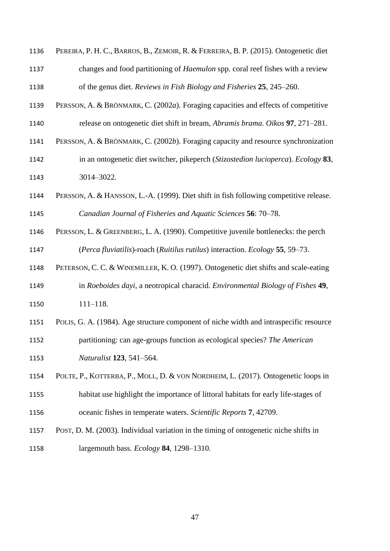- PEREIRA, P. H. C., BARROS, B., ZEMOIR, R. & FERREIRA, B. P. (2015). Ontogenetic diet changes and food partitioning of *Haemulon* spp. coral reef fishes with a review of the genus diet. *Reviews in Fish Biology and Fisheries* **25**, 245–260.
- PERSSON, A. & BRÖNMARK, C. (2002*a*). Foraging capacities and effects of competitive release on ontogenetic diet shift in bream, *Abramis brama*. *Oikos* **97**, 271–281.
- PERSSON, A. & BRÖNMARK, C. (2002*b*). Foraging capacity and resource synchronization
- in an ontogenetic diet switcher, pikeperch (*Stizostedion lucioperca*). *Ecology* **83**, 3014–3022.
- PERSSON, A. & HANSSON, L.-A. (1999). Diet shift in fish following competitive release. *Canadian Journal of Fisheries and Aquatic Sciences* **56**: 70–78.
- PERSSON, L. & GREENBERG, L. A. (1990). Competitive juvenile bottlenecks: the perch (*Perca fluviatilis*)-roach (*Ruitilus rutilus*) interaction. *Ecology* **55**, 59–73.
- PETERSON, C. C. & WINEMILLER, K. O. (1997). Ontogenetic diet shifts and scale-eating in *Roeboides dayi*, a neotropical characid. *Environmental Biology of Fishes* **49**,
- 111–118.
- POLIS, G. A. (1984). Age structure component of niche width and intraspecific resource
- partitioning: can age-groups function as ecological species? *The American*
- *Naturalist* **123**, 541–564.
- POLTE, P., KOTTERBA, P., MOLL, D. & VON NORDHEIM, L. (2017). Ontogenetic loops in
- habitat use highlight the importance of littoral habitats for early life-stages of oceanic fishes in temperate waters. *Scientific Reports* **7**, 42709.
- POST, D. M. (2003)*.* Individual variation in the timing of ontogenetic niche shifts in largemouth bass*. Ecology* **84**, 1298*–*1310*.*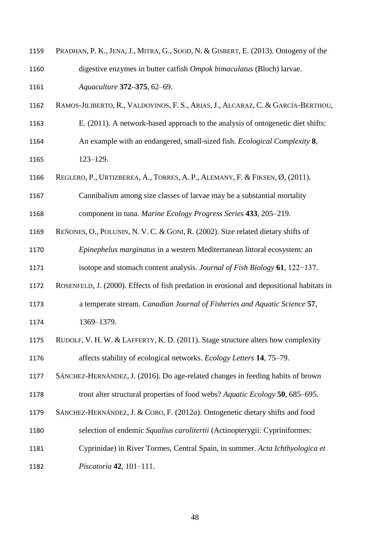| 1159 | PRADHAN, P. K., JENA, J., MITRA, G., SOOD, N. & GISBERT, E. (2013). Ontogeny of the       |
|------|-------------------------------------------------------------------------------------------|
| 1160 | digestive enzymes in butter catfish Ompok bimaculatus (Bloch) larvae.                     |
| 1161 | Aquaculture 372-375, 62-69.                                                               |
| 1162 | RAMOS-JILIBERTO, R., VALDOVINOS, F. S., ARIAS, J., ALCARAZ, C. & GARCÍA-BERTHOU,          |
| 1163 | E. (2011). A network-based approach to the analysis of ontogenetic diet shifts:           |
| 1164 | An example with an endangered, small-sized fish. <i>Ecological Complexity</i> 8,          |
| 1165 | $123 - 129.$                                                                              |
| 1166 | REGLERO, P., URTIZBEREA, A., TORRES, A. P., ALEMANY, F. & FIKSEN, Ø, (2011).              |
| 1167 | Cannibalism among size classes of larvae may be a substantial mortality                   |
| 1168 | component in tuna. Marine Ecology Progress Series 433, 205–219.                           |
| 1169 | REÑONES, O., POLUNIN, N. V. C. & GONI, R. (2002). Size related dietary shifts of          |
| 1170 | Epinephelus marginatus in a western Mediterranean littoral ecosystem: an                  |
| 1171 | isotope and stomach content analysis. Journal of Fish Biology $61$ , 122–137.             |
| 1172 | ROSENFELD, J. (2000). Effects of fish predation in erosional and depositional habitats in |
| 1173 | a temperate stream. Canadian Journal of Fisheries and Aquatic Science 57,                 |
| 1174 | 1369-1379.                                                                                |
| 1175 | RUDOLF, V. H. W. & LAFFERTY, K. D. (2011). Stage structure alters how complexity          |
| 1176 | affects stability of ecological networks. Ecology Letters 14, 75–79.                      |
| 1177 | SÁNCHEZ-HERNÁNDEZ, J. (2016). Do age-related changes in feeding habits of brown           |
| 1178 | trout alter structural properties of food webs? Aquatic Ecology 50, 685–695.              |
| 1179 | SÁNCHEZ-HERNÁNDEZ, J. & COBO, F. (2012a). Ontogenetic dietary shifts and food             |
| 1180 | selection of endemic Squalius carolitertii (Actinopterygii: Cypriniformes:                |
| 1181 | Cyprinidae) in River Tormes, Central Spain, in summer. Acta Ichthyologica et              |
| 1182 | Piscatoria 42, 101-111.                                                                   |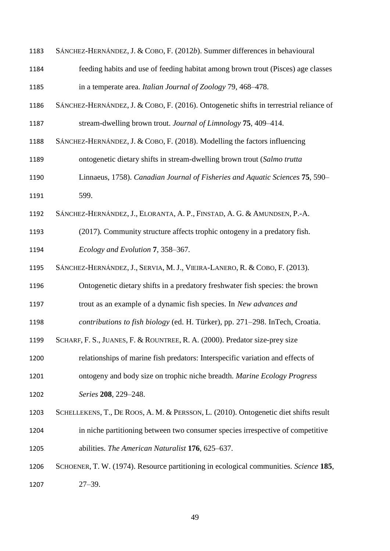| 1183 | SÁNCHEZ-HERNÁNDEZ, J. & COBO, F. (2012b). Summer differences in behavioural            |
|------|----------------------------------------------------------------------------------------|
| 1184 | feeding habits and use of feeding habitat among brown trout (Pisces) age classes       |
| 1185 | in a temperate area. Italian Journal of Zoology 79, 468-478.                           |
| 1186 | SÁNCHEZ-HERNÁNDEZ, J. & COBO, F. (2016). Ontogenetic shifts in terrestrial reliance of |
| 1187 | stream-dwelling brown trout. Journal of Limnology 75, 409–414.                         |
| 1188 | SÁNCHEZ-HERNÁNDEZ, J. & COBO, F. (2018). Modelling the factors influencing             |
| 1189 | ontogenetic dietary shifts in stream-dwelling brown trout (Salmo trutta                |
| 1190 | Linnaeus, 1758). Canadian Journal of Fisheries and Aquatic Sciences 75, 590–           |
| 1191 | 599.                                                                                   |
| 1192 | SÁNCHEZ-HERNÁNDEZ, J., ELORANTA, A. P., FINSTAD, A. G. & AMUNDSEN, P.-A.               |
| 1193 | (2017). Community structure affects trophic ontogeny in a predatory fish.              |
| 1194 | Ecology and Evolution 7, 358–367.                                                      |
| 1195 | SÁNCHEZ-HERNÁNDEZ, J., SERVIA, M. J., VIEIRA-LANERO, R. & COBO, F. (2013).             |
| 1196 | Ontogenetic dietary shifts in a predatory freshwater fish species: the brown           |
| 1197 | trout as an example of a dynamic fish species. In New advances and                     |
| 1198 | contributions to fish biology (ed. H. Türker), pp. 271-298. InTech, Croatia.           |
| 1199 | SCHARF, F. S., JUANES, F. & ROUNTREE, R. A. (2000). Predator size-prey size            |
| 1200 | relationships of marine fish predators: Interspecific variation and effects of         |
| 1201 | ontogeny and body size on trophic niche breadth. Marine Ecology Progress               |
| 1202 | Series 208, 229-248.                                                                   |
| 1203 | SCHELLEKENS, T., DE ROOS, A. M. & PERSSON, L. (2010). Ontogenetic diet shifts result   |
| 1204 | in niche partitioning between two consumer species irrespective of competitive         |
| 1205 | abilities. The American Naturalist 176, 625–637.                                       |
| 1206 | SCHOENER, T. W. (1974). Resource partitioning in ecological communities. Science 185,  |
| 1207 | $27 - 39.$                                                                             |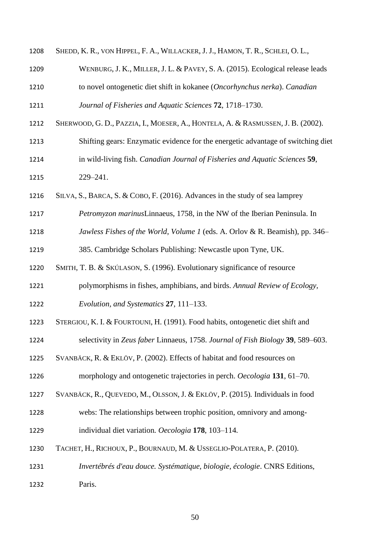| 1208 | SHEDD, K. R., VON HIPPEL, F. A., WILLACKER, J. J., HAMON, T. R., SCHLEI, O. L.,  |
|------|----------------------------------------------------------------------------------|
| 1209 | WENBURG, J. K., MILLER, J. L. & PAVEY, S. A. (2015). Ecological release leads    |
| 1210 | to novel ontogenetic diet shift in kokanee (Oncorhynchus nerka). Canadian        |
| 1211 | Journal of Fisheries and Aquatic Sciences 72, 1718-1730.                         |
| 1212 | SHERWOOD, G. D., PAZZIA, I., MOESER, A., HONTELA, A. & RASMUSSEN, J. B. (2002).  |
| 1213 | Shifting gears: Enzymatic evidence for the energetic advantage of switching diet |
| 1214 | in wild-living fish. Canadian Journal of Fisheries and Aquatic Sciences 59,      |
| 1215 | 229-241.                                                                         |
| 1216 | SILVA, S., BARCA, S. & COBO, F. (2016). Advances in the study of sea lamprey     |
| 1217 | Petromyzon marinusLinnaeus, 1758, in the NW of the Iberian Peninsula. In         |
| 1218 | Jawless Fishes of the World, Volume 1 (eds. A. Orlov & R. Beamish), pp. 346–     |
| 1219 | 385. Cambridge Scholars Publishing: Newcastle upon Tyne, UK.                     |
| 1220 | SMITH, T. B. & SKÚLASON, S. (1996). Evolutionary significance of resource        |
| 1221 | polymorphisms in fishes, amphibians, and birds. Annual Review of Ecology,        |
| 1222 | Evolution, and Systematics 27, 111–133.                                          |
| 1223 | STERGIOU, K. I. & FOURTOUNI, H. (1991). Food habits, ontogenetic diet shift and  |
| 1224 | selectivity in Zeus faber Linnaeus, 1758. Journal of Fish Biology 39, 589–603.   |
| 1225 | SVANBÄCK, R. & EKLÖV, P. (2002). Effects of habitat and food resources on        |
| 1226 | morphology and ontogenetic trajectories in perch. Oecologia 131, 61-70.          |
| 1227 | SVANBÄCK, R., QUEVEDO, M., OLSSON, J. & EKLÖV, P. (2015). Individuals in food    |
| 1228 | webs: The relationships between trophic position, omnivory and among-            |
| 1229 | individual diet variation. Oecologia 178, 103-114.                               |
| 1230 | TACHET, H., RICHOUX, P., BOURNAUD, M. & USSEGLIO-POLATERA, P. (2010).            |
| 1231 | Invertébrés d'eau douce. Systématique, biologie, écologie. CNRS Editions,        |
| 1232 | Paris.                                                                           |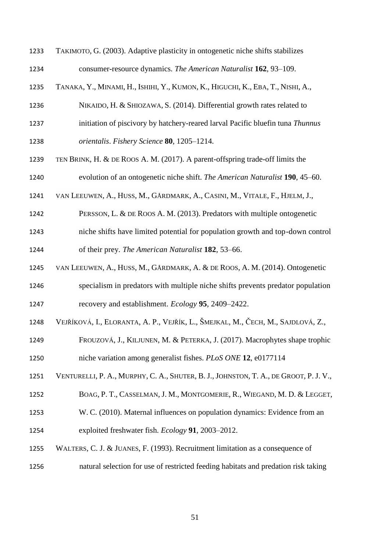| 1233 | TAKIMOTO, G. (2003). Adaptive plasticity in ontogenetic niche shifts stabilizes       |
|------|---------------------------------------------------------------------------------------|
| 1234 | consumer-resource dynamics. The American Naturalist 162, 93–109.                      |
| 1235 | TANAKA, Y., MINAMI, H., ISHIHI, Y., KUMON, K., HIGUCHI, K., EBA, T., NISHI, A.,       |
| 1236 | NIKAIDO, H. & SHIOZAWA, S. (2014). Differential growth rates related to               |
| 1237 | initiation of piscivory by hatchery-reared larval Pacific bluefin tuna Thunnus        |
| 1238 | orientalis. Fishery Science 80, 1205-1214.                                            |
| 1239 | TEN BRINK, H. & DE ROOS A. M. (2017). A parent-offspring trade-off limits the         |
| 1240 | evolution of an ontogenetic niche shift. The American Naturalist 190, 45–60.          |
| 1241 | VAN LEEUWEN, A., HUSS, M., GÅRDMARK, A., CASINI, M., VITALE, F., HJELM, J.,           |
| 1242 | PERSSON, L. & DE ROOS A. M. (2013). Predators with multiple ontogenetic               |
| 1243 | niche shifts have limited potential for population growth and top-down control        |
| 1244 | of their prey. The American Naturalist 182, 53–66.                                    |
| 1245 | VAN LEEUWEN, A., HUSS, M., GÅRDMARK, A. & DE ROOS, A. M. (2014). Ontogenetic          |
| 1246 | specialism in predators with multiple niche shifts prevents predator population       |
| 1247 | recovery and establishment. <i>Ecology</i> 95, 2409–2422.                             |
| 1248 | VEJŘÍKOVÁ, I., ELORANTA, A. P., VEJŘÍK, L., ŠMEJKAL, M., ČECH, M., SAJDLOVÁ, Z.,      |
| 1249 | FROUZOVÁ, J., KILJUNEN, M. & PETERKA, J. (2017). Macrophytes shape trophic            |
| 1250 | niche variation among generalist fishes. PLoS ONE 12, e0177114                        |
| 1251 | VENTURELLI, P. A., MURPHY, C. A., SHUTER, B. J., JOHNSTON, T. A., DE GROOT, P. J. V., |
| 1252 | BOAG, P. T., CASSELMAN, J. M., MONTGOMERIE, R., WIEGAND, M. D. & LEGGET,              |
| 1253 | W. C. (2010). Maternal influences on population dynamics: Evidence from an            |
| 1254 | exploited freshwater fish. Ecology 91, 2003–2012.                                     |
| 1255 | WALTERS, C. J. & JUANES, F. (1993). Recruitment limitation as a consequence of        |
| 1256 | natural selection for use of restricted feeding habitats and predation risk taking    |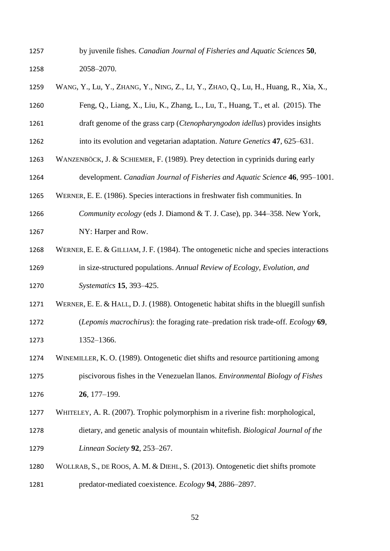by juvenile fishes. *Canadian Journal of Fisheries and Aquatic Sciences* **50**, 2058–2070.

| 1259 | WANG, Y., Lu, Y., ZHANG, Y., NING, Z., LI, Y., ZHAO, Q., Lu, H., Huang, R., Xia, X.,   |
|------|----------------------------------------------------------------------------------------|
| 1260 | Feng, Q., Liang, X., Liu, K., Zhang, L., Lu, T., Huang, T., et al. (2015). The         |
| 1261 | draft genome of the grass carp ( <i>Ctenopharyngodon idellus</i> ) provides insights   |
| 1262 | into its evolution and vegetarian adaptation. Nature Genetics 47, 625–631.             |
| 1263 | WANZENBÖCK, J. & SCHIEMER, F. (1989). Prey detection in cyprinids during early         |
| 1264 | development. Canadian Journal of Fisheries and Aquatic Science 46, 995-1001.           |
| 1265 | WERNER, E. E. (1986). Species interactions in freshwater fish communities. In          |
| 1266 | Community ecology (eds J. Diamond & T. J. Case), pp. 344–358. New York,                |
| 1267 | NY: Harper and Row.                                                                    |
| 1268 | WERNER, E. E. & GILLIAM, J. F. (1984). The ontogenetic niche and species interactions  |
| 1269 | in size-structured populations. Annual Review of Ecology, Evolution, and               |
| 1270 | Systematics 15, 393-425.                                                               |
| 1271 | WERNER, E. E. & HALL, D. J. (1988). Ontogenetic habitat shifts in the bluegill sunfish |
| 1272 | (Lepomis macrochirus): the foraging rate–predation risk trade-off. Ecology 69,         |
| 1273 | 1352-1366.                                                                             |
| 1274 | WINEMILLER, K. O. (1989). Ontogenetic diet shifts and resource partitioning among      |
| 1275 | piscivorous fishes in the Venezuelan llanos. Environmental Biology of Fishes           |
| 1276 | 26, 177-199.                                                                           |
| 1277 | WHITELEY, A. R. (2007). Trophic polymorphism in a riverine fish: morphological,        |
| 1278 | dietary, and genetic analysis of mountain whitefish. Biological Journal of the         |
| 1279 | Linnean Society 92, 253-267.                                                           |
| 1280 | WOLLRAB, S., DE ROOS, A. M. & DIEHL, S. (2013). Ontogenetic diet shifts promote        |
| 1281 | predator-mediated coexistence. Ecology 94, 2886–2897.                                  |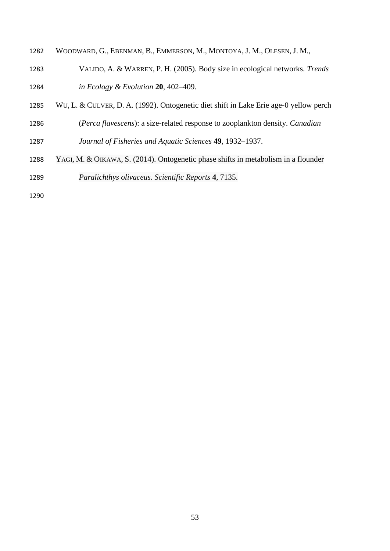- WOODWARD, G., EBENMAN, B., EMMERSON, M., MONTOYA, J. M., OLESEN, J. M.,
- VALIDO, A. & WARREN, P. H. (2005). Body size in ecological networks. *Trends in Ecology & Evolution* **20**, 402–409.
- WU, L. & CULVER, D. A. (1992). Ontogenetic diet shift in Lake Erie age-0 yellow perch
- (*Perca flavescens*): a size-related response to zooplankton density. *Canadian*
- *Journal of Fisheries and Aquatic Sciences* **49**, 1932–1937.
- YAGI, M. & OIKAWA, S. (2014). Ontogenetic phase shifts in metabolism in a flounder *Paralichthys olivaceus*. *Scientific Reports* **4**, 7135.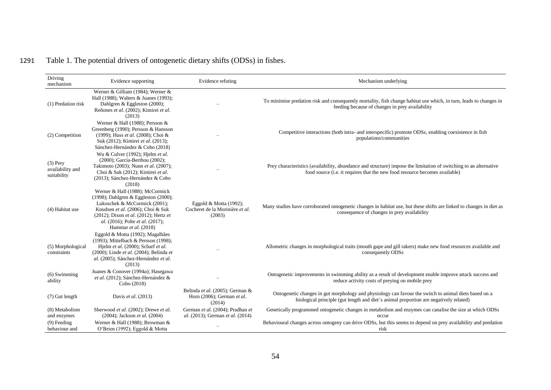# 1291 Table 1. The potential drivers of ontogenetic dietary shifts (ODSs) in fishes.

| Driving<br>mechanism                          | Evidence supporting                                                                                                                                                                                                                                | Evidence refuting                                                       | Mechanism underlying                                                                                                                                                                             |  |  |  |  |
|-----------------------------------------------|----------------------------------------------------------------------------------------------------------------------------------------------------------------------------------------------------------------------------------------------------|-------------------------------------------------------------------------|--------------------------------------------------------------------------------------------------------------------------------------------------------------------------------------------------|--|--|--|--|
| (1) Predation risk                            | Werner & Gilliam (1984); Werner &<br>Hall (1988); Walters & Juanes (1993);<br>Dahlgren & Eggleston (2000);<br>Reñones et al. (2002); Kimirei et al.<br>(2013)                                                                                      |                                                                         | To minimise predation risk and consequently mortality, fish change habitat use which, in turn, leads to changes in<br>feeding because of changes in prey availability                            |  |  |  |  |
| (2) Competition                               | Werner & Hall (1988); Persson &<br>Greenberg (1990); Persson & Hansson<br>(1999); Huss et al. (2008); Choi &<br>Suk (2012); Kimirei et al. (2013);<br>Sánchez-Hernández & Cobo (2018)                                                              |                                                                         | Competitive interactions (both intra- and interspecific) promote ODSs, enabling coexistence in fish<br>populations/communities                                                                   |  |  |  |  |
| $(3)$ Prey<br>availability and<br>suitability | Wu & Culver (1992); Hjelm et al.<br>(2000); García-Berthou (2002);<br>Takimoto (2003); Nunn et al. (2007);<br>Choi & Suk (2012); Kimirei et al.<br>(2013); Sánchez-Hernández & Cobo<br>(2018)                                                      |                                                                         | Prey characteristics (availability, abundance and structure) impose the limitation of switching to an alternative<br>food source (i.e. it requires that the new food resource becomes available) |  |  |  |  |
| (4) Habitat use                               | Werner & Hall (1988); McCormick<br>(1998); Dahlgren & Eggleston (2000);<br>Lukoschek & McCormick (2001);<br>Knudsen et al. (2006); Choi & Suk<br>(2012); Dixon et al. (2012); Hertz et<br>al. (2016); Polte et al. (2017);<br>Hammar et al. (2018) | Eggold & Motta $(1992)$ ;<br>Cocheret de la Morinière et al.<br>(2003)  | Many studies have corroborated ontogenetic changes in habitat use, but these shifts are linked to changes in diet as<br>consequence of changes in prey availability                              |  |  |  |  |
| (5) Morphological<br>constraints              | Eggold & Motta (1992); Magalhães<br>(1993); Mittelbach & Persson (1998);<br>Hjelm et al. (2000); Scharf et al.<br>(2000); Linde et al. (2004); Belinda et<br>al. (2005); Sánchez-Hernández et al.<br>(2013)                                        |                                                                         | Allometric changes in morphological traits (mouth gape and gill rakers) make new food resources available and<br>consequently ODSs                                                               |  |  |  |  |
| $(6)$ Swimming<br>ability                     | Juanes & Conover (1994a); Hasegawa<br>et al. (2012); Sánchez-Hernández &<br>Cobo (2018)                                                                                                                                                            |                                                                         | Ontogenetic improvements in swimming ability as a result of development enable improve attack success and<br>reduce activity costs of preying on mobile prey                                     |  |  |  |  |
| (7) Gut length                                | Davis et al. (2013)                                                                                                                                                                                                                                | Belinda et al. (2005); German &<br>Horn (2006); German et al.<br>(2014) | Ontogenetic changes in gut morphology and physiology can favour the switch to animal diets based on a<br>biological principle (gut length and diet's animal proportion are negatively related)   |  |  |  |  |
| (8) Metabolism<br>and enzymes                 | Sherwood et al. (2002); Drewe et al.<br>(2004); Jackson et al. (2004)                                                                                                                                                                              | German et al. (2004); Pradhan et<br>al. (2013); German et al. (2014)    | Genetically programmed ontogenetic changes in metabolism and enzymes can canalise the size at which ODSs<br>occur                                                                                |  |  |  |  |
| $(9)$ Feeding<br>behaviour and                | Werner & Hall (1988); Browman &<br>O'Brien (1992); Eggold & Motta                                                                                                                                                                                  |                                                                         | Behavioural changes across ontogeny can drive ODSs, but this seems to depend on prey availability and predation<br>risk                                                                          |  |  |  |  |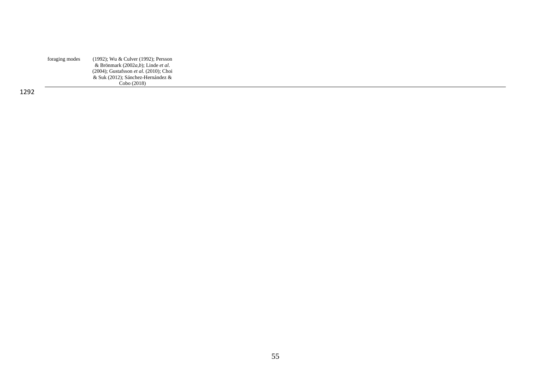| foraging modes | (1992); Wu & Culver (1992); Persson          |
|----------------|----------------------------------------------|
|                | & Brönmark (2002a,b); Linde et al.           |
|                | $(2004)$ ; Gustafsson et al. $(2010)$ ; Choi |
|                | & Suk (2012); Sánchez-Hernández &            |
|                | Cobo (2018)                                  |
|                |                                              |